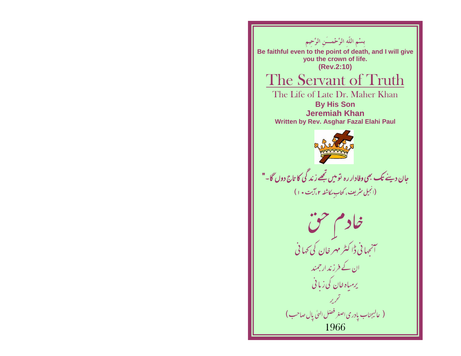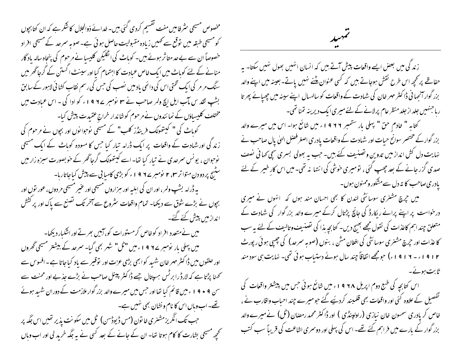مخصوص مسیحی سٹر فامیں مفت نقسیم کردی گئی بیں۔خدائے ذوالجلال کا شکر ہے کہ ان کتابچوں کو مسیحی طبقہ میں توقع سے ٹھیں زیادہ مقبولیت حاصل ہوئی ہے۔صوبہ سمرحد کے مسیحی افراد خصوصاً ان سے بے حد متا ثر ہوئے بیں۔ کوباٹ کی انگلیکن کلیسا نے مرحوم کی پنجاہ سالہ باد گار منانے کے لئے کوہاٹ میں ایک خاص عبادت کا اہتمام کیا اور سینٹ اکستن کے گرجاٹھر میں سنگ مر مر کی ایک تختی اس کی دائمی یاد میں نصب کی جس کی رسم نقاب کشا ئی لاہور کے سابق بشپ تقد س مآب ایل ایچ ولمر صاحب نے ۳ نومبر ۱۹۲۷ و گو ادا کی - اس عبادت میں مختلف کلیساؤں کے نمائندوں نے مرحوم کوشاندار خراج عقیدت پیش کیا-کوہاٹ کی " کیتھولک فرینڈز کلب" کے مسیحی نوحوانوں اور بچوں نے مرحوم کی زند کی اور شہادت کے واقعات پر ایک ڈرامہ تیار کیا جس کا مسودہ کوہاٹ کے ایک مسیحی نوحوان ، یونس سمرحدی نے تیار کیا تھا۔اسے کیبتھولک گرجاگھر کے خو بصورت سبزہ زار میں سٹیج پر دودن متواتر ۲۰ تام مرے ۹۹ اء کو بڑی کامیابی سے پیش کیاجاتاریا-یه ڈرامہ بشپ ولمر ، اور ان کی اہلیہ اور ہزاروں مسیحی اور عنیر مسیحی مر دوں ، عور توں اور بجوں نے بڑے شوق سے دیکھا۔ تمام واقعات سٹروع سے آمخر تک تصنع سے پاک اور پر کشش اندازمیں پیش کئے گئے۔ میں نےمتعدد افراد کوخاص کرمستورات کو،آبیں بھرتے اور انٹکیار دیکھا۔

میں پہلی بار پومبر ے9 9 ا ءمیں "ٹل" شہر بھی گیا۔ سمرعد کے بیشتر مسیحی گھروں اور حلقوں میں ڈاکٹر مہر خان شہد کو ابھی بڑی عزت اور نوقیر سے باد کیا جاتا ہے - افسوس سے کھنا پڑتا ہے کہ لارڈ را برٹس ہسپتال جسے ڈاکٹر پینل صاحب نے بڑے جذبے اور محنت سے سن ۹ + ۹ ا ء میں قائم کیا تھا اور حس میں میرے والد بزر گوار ملازمت کے دوران شہد ہوئے تھے۔اب وہاں اس کا نام و نشان بھی نہیں ہے۔ حب تک انگریزمشنری خانون (مس ڈیوڈسن) ٹل میں سکونت پذیر تھیں اس جگہ پر تحجیہ مسیحی بشارت کا کام ہوتا تھا۔ ان کے جانے کے بعد کسی نے یہ جگہ خرید لی اور اب وہاں  $\ddot{x}$ 

زند کی میں بعض ایسے واقعات پیشِ آتے ہیں کہ انسان انہیں بھول نہیں سکتا- یہ حفاظے پر کحچھ اس طرح نقش ہوجاتے ہیں کہ کسی عنوان میٹنے نہیں یاتے۔ بعینہ میں اپنے والد بزر گوار آنجہا ٹی ڈاکٹر مہر خان کی شہادت کے واقعات کو سالہ ال اپنے سینہ میں چھیائے پھر تا رہاجنہیں جلد از جلد منظر عام پرلانے کے لئے میری ایک دیربنہ تمنا تھی۔ کتابہ " خادم حق " پہلی بار ستمبر ۶ ۶ ا ء میں شائع ہوا۔ اس میں میرے والد بزر گوارکے مختصر سوانح حیات اور شہادت کے واقعات یادری اصغر فصل الهیٰ پال صاحب نے نہایت دل کش انداز میں تدوین وتصنیف کئے ہیں۔ جب یہ بھولی بسری سچی کھا فی نصف صدی گزر جانے کے بعد چھپ کئی ، تومیری خوشی کی انتہا نہ تھی۔میں اس کارِ خیر کے لئے یادری صاحب کا تہ دل سے مشکور وممنون ہوں۔

میں جرچ مشنری سوسائٹی لندن کا بھی احسان مند ہوں کہ انہوں نے میری درخواست پر اپنے پرانے ریکارڈ کی جانچ پڑتال کرکے میرے والد بزرگوار کی شہادت کے متعلق چند اہم کاعذات کی نقول مجھے بھیج دیں۔ کتابچہ ہذا کی تصنیف وتالیف کے لئے یہ سب کا عذات اور جرچ مشنر ی سوسائٹی کی افغان مش، ، بنوں (صوبہ سمرحد) کی چھپی ہوئی رپورٹ ۱۲ | ۱۹ | ۰ | ۱۹ | ۱۹ | مجو مجھے اتفاقاً جبند سال ہوئے دستیاب ہوئی تھی۔ نہایت ہی سود مند ثابت ہوئے۔

اس کتابچہ کی طبع دوم اپریل ۱۹۶۸ء میں شائع ہوئی جس میں پیشتر واقعات کی تفصیل کے علاوہ کئی اور واقعات بھی قلمبند کردیئیے گئے حبومیرے چند احیاب واقارب نے ، خاص کر یادری سمسون خان نبازی (راولپنڈی ) اور ڈاکٹر محمد رمضان (ٹل) نے میرے والد بزر گوار کے بارے میں فراہم کئے تھے۔ اس کی پہلی اور دوسمری اشاعت کی قریباً سب کتب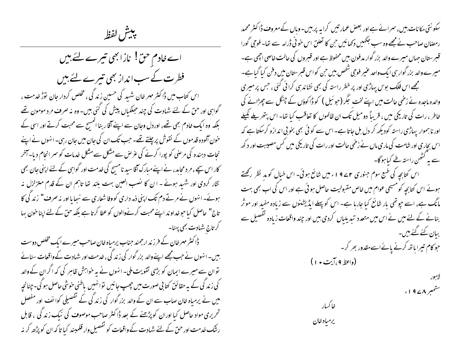يبش لفظ

اے خادم حن! نازابھی تیرے لئے ہیں فطرت کے سب انداز بھی تیرے لئے ہیں اس کتاب میں ڈاکٹر مہر خان شہد کی حسین زند گی ، مخلص کردار جان توڑ خدمت ، گواہی اور حق کے لئے شہادت کی چند حبککیاں پیش کی گئی بیں۔ وہ نہ صرف مرد مومون تھے بلکہ وہ ایک خادم بھی تھے، اوردل وجان سے اپنے آقا ر بنا المسیح سے محبت کرتے اور اسی کے خون آلودہ قدموں کے نقوش پر چلتے تھے۔ حب تک ان کی جان میں جان رہی۔ انہوں نے اپنے نجات دہندہ کی مرحنی کو پورا کرنے کی غرص سے مشکل سے مشکل خدمات کو سمر انجام دیا۔آخر کار اس سچے ، مر د محاید، نے اپنے مبارک آفاسید نامسیح کی خدمت اور گواہی کے لئے اپنی جان بھی نثار کردی اور شہد ہوئے ۔ ا ن کا نصب العین بہت بلند تھا تاہم ان کے قدم متزلزل نہ ہوئے۔انہوں نے مرتے دم تک اپنی ذمہ داری کووفا شعاری سے نہجا یا اور نہ صرف" زند کی کا تاج" حاصل کیا حوخداوند اپنے محبت کرنےوالوں کو عطا کرتا ہے بلکہ حن کے لئے اپنا خون بہا گر تاج ش<sub>ا</sub>دت بھی پہنا۔

ڈاکٹر مہرخان کے فرزند ارجمند جناب پرمیاہ خان صاحب میرے ایک مخلص دوست بییں۔انہوں نے حب مجھے اپنے والد بزر گوار کی زند گی ، خدمت اور شہادت کے واقعات سنانے توان سے میرے ایمان کو بڑی تقویت ملی۔انہوں نے یہ خواہش ظاہر کی کہ اگران کے والد کی زند گی کے بہ حقائق کتا بی صورت میں چھپ جائیں توانہیں یاطنی حوشی حاصل ہو گی۔چنانچہ میں نے پرمیاہ خان صاب سے ان کے والد بزر گوار کی زند گی کے تفصیلی کوائف اور مفصل تحریری مواد حاصل کیا اوران کوپڑھنے کے بعد ڈاکٹر صاحب موصوف کی نیک زند کی ، قابل رشک خدمت اور حق کے لئے شہادت کے واقعات کو تفصیل وار قلمبند کیا تا کہ ان کو پڑھ کر نہ

سکونتی مکانات بیں، سمرائے ہے اور بعض عمار تیں کرا ہہ پر بیں۔وہاں کے معروف ڈاکٹر محمد رمضان صاحب نے مجھے وہ سب جگہیں دکھائیں حن کا تعلق اس خو فی ڈرامہ سے تھا۔ فوجی گورا قسر ستان جہاں میرے والد بزر گوار مدفون بیں محفوظ ہے اور قسروں کی حالت خاصی اچھی ہے۔ میرے والد بزر گوار ہی ایک واحد عنیر فوجی شخص بیں حن کواس قسر ستان میں دفن کیا گیا ہے۔ مجھے اس فلک بوس پہاڑی اور پر خطر راستہ کی بھی نشاند ہی کرا ٹی گئی ، جس پر میری والدہ ماجدہ نے زخمی حالت میں اپنے لخت مجگر (حبو ئیل ) کو ڈاکوؤں کے چنگل سے چھڑانے کی خاطر ، رات کی تاریکی میں ، قریباً دومیل تک ان ظالموں کا تعاقب کیا تھا- اس پتھر پلے نکیلے اور نا ہموار یہاڑی راستہ کودیکھ کر دل بل جاتا ہے۔ اس سے کو ٹی بھی بخو بی اندازہ کرسکتا ہے کہ اس بچاری اور شامت کی ماری ماں نے زخمی حالت اور رات کی تاریکی میں کس مصیبت اور د کھ سے بہ کٹھن راستہ طے کیا ہوگا۔ اس کتابجہ کی طبع سوم جنوری ۲ ۷ ۹ ء میں شائع ہوئی۔ اس خیال کو مد نظر رکھتے ہوئے اس کتابچہ کومسیحی عوام میں خاص مقبولیت حاصل ہوئی ہے اور اس کی اب بھی بہت مانگ ہے، اسے جوتھی بار شائع کیا جارہا ہے۔ اس کو پہلے ایڈیشنوں سے زیادہ مفید اور موثر بنانے کے لئے میں نے اس میں متعدد تبدیلیاں کردی بیں اور چند واقعات زیادہ تفصیل سے بیان کئے گئے ہیں۔ حو کام تیرا ہاتھ کرنے پائےاسے مقدور بھر کر۔ (واعظه ۹ ،آیت • ۱ )

فاكسار

يرمباه خان

ستمبر ۱۹۷۸ء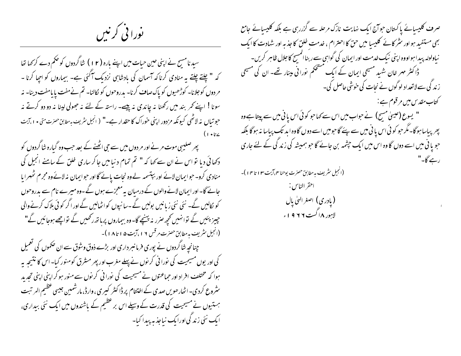نورا فی کرنیں

سید نامسیح نے اپنی حین حیات میں اپنے بارہ ( ۲ I ) شاگردوں کو حکم دے کر کہا تھا کہ " چلتے چلتے یہ منادی کرنا کہ آسمان کی بادشاہی نزدیک آگئی ہے۔ بیماروں کو احیا کرنا -مردوں کوجلانا۔ کوڑھیوں کو پاک صاف کرنا- بدروحوں کو کالنا- تم نےمفت پا مامفت دینا- نہ سونا! اپنے کمر بند میں رکھنا نہ چاندی نہ پیسے۔ راستہ کے لئے نہ جھولی لینا نہ دو دو کرتے نہ حوتیاں نہ لاٹھی کیونکہ مزدور اپنی خوراک کا حقدار ہے۔" ( انجیل سریف بہ مطابق حسرت متی • ۱ ،آیت

پھر صلیبی موت مرنے اور مر دوں میں سے حجی اٹھنے کے بعد حب وہ گبارہ شاگردوں کو دکھائی دیا تو اس نے ان سے کہا کہ " تم تمام دنیا میں جاکر ساری خلق کے سامنے انجیل کی منادی کرو۔ حوابیان لائے اور بپتسمہ لےوہ نجات پائے گااور حوابیان نہ لائےوہ مجرم ٹھہرایا جانے گا۔ اور ایمان لانےوالوں کے درمیان بیہ معجزے ہوں گے -وہ میرے نام سے بدروحوں کو نکالیں گے۔ نئی نئی زیانیں بولیں گے۔سانپوں کواٹھالیں گے اور اگر کو ٹی ہلاک کرنے والی چیز پئیں گے توانہیں کحچھ صرر نہ بینیچے گا-وہ بیماروں پرماتھ رکھیں گے تواچھے ہوجائیں گے" (انجیل سثریف به مطابق حصرت مرقس ۱۶، آیت ۱۵تا ۱۸)-چنانچہ شاگردوں نے پوری فرمانسر داری اور بڑے ذوق وشوق سے ان صحموں کی تعمیل گی اور یوں مسیحیت کی نورا فی کر نوں نے پہلے مغرب اور پھر مسٹرق کومنور کیا۔اس کا نتیجہ یہ ہوا کہ مختلف افراد اور حماعتوں نے مسیحیت کی نورا فی کرنوں سے منور ہو کر اپنی اپنی تحدید ینٹروع کردی۔اٹھارھویں صدی کے اختتام پر ڈاکٹر کیری، وارڈ، مارشمین جیسی عظیم المرتبت بہتیوں نے مسیحیت کی قدرت کے وسیلے اس بر عظیم کے باشندوں میں ایک نئی بیداری، امک نئی زند کی اورابک نباجذ مه پیدا کیا-

صرف کلیسیائے پاکستان حواج ایک نہایت نازک مرحلہ سے گزرر ہی ہے بلکہ کلیسیائے جامع بھی مستفید ہو اور سٹر کانے کلیسا میں حق کا احترام ، خدمت خلق کا جذبہ اور شہادت کا ایک نباولولہ پیدا ہواووہ اپنی نیک خدمت اور ایمان کی گواہی سے ربنا المسح کا جلال ظاہر کریں۔ ڈاکٹر مہر خان شہید مسیحی ایمان کے ایک مشحکم نورانی مینار تھے۔ ان کی مسیحی ز ند گی سے لاتعداد لوگوں نے نجات کی حوشی حاصل کی۔ گتاب *مقد س میں م*رقوم ہے :-" یسوع (عیسیٰ مسیح) نے حواب میں اس سے کہا حو کوئی اس پانی میں سے پیتا ہے وہ بھر پباسا ہوگا۔مگر حو کو ٹی اس یا فی میں سے پئے گا حومیں اسے دوں گاوہ ابد تک پیاسا نہ ہوگا بلکہ حبو پا فی میں اسے دوں گا وہ اس میں ایک حپشمہ بن جائے گا حبو ہمیشہ کی زند کی کے لئے جاری رہے گا۔" (انجیل سٹریف ہہ مطابق حصرت یوحنا ہم،آیت ۱۳ تا ۱۴ )۔

> احقر الناس : ( پادری ) اصغر الهیٰ پال ) لاہور ۱۸ گست ۲ ۶ ا ۶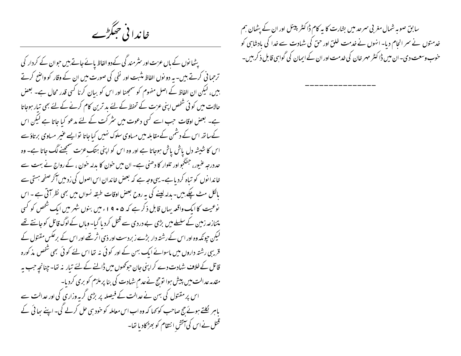خاندا فی حجگڑے

یٹھانوں کے باں عزت اور سٹرمند گی کےدوالفاظ پائے جاتے بیں حبوان کے کردار کی ترحما فی کرتے ہیں۔ یہ دو نوں الفاظ مثبت اور نفی کی صورت میں ان کے وقار کو واضح کرتے بیں، لیکن ان الفاظ کے اصل مفهوم کو سمجھنا اور اس کو بیان کرنا کسی قدر محال ہے۔ بعض حالات میں کو ٹی شخص اپنی عزت کے تحفظ کے لئے بد ترین کام کرنے کے لئے بھی تیار ہوجاتا ہے۔ بعض اوقات حب اسے کسی دعوت میں سثر کت کے لئے مدعو کیا جاتا ہے لیکن اس کےساتھ اس کے دشمن کے مقابلہ میں مساوی سلوک نہیں کیاجاتا نو ایسے عنیر مساوی برتاؤ سے اس کا شیشہ دل پاش پاش ہوجاتا ہے اور وہ اس کو اپنی ہتک عزت سمجھنے لگ جاتا ہے۔ وہ حد درجہ عنیور، جنگجو اور تلوار کا دھنی ہے۔ ان میں خون کا بدلہ حون ، کے رواج نے بہت سے خاندانوں کو تباہ کردیاہے۔ یہی وجہ ہے کہ بعض خاندان اس اصول کی زدمیں آکر صفحہ ہستی سے پالکل مٹ چکے بیں۔ بدلہ لیپنے کی یہ روح بعض اوقات طبقہ نسواں میں بھی نظر آتی ہے ۔ اس نوعیت کا ایک واقعہ بہاں قابل ذکر ہے کہ ۵ • ۹ اءمیں بنوں شہر میں ایک شخص کو <sup>ک</sup>سی متنازعہ زمین کے سلسلے میں بڑی بے دردی سے قتل کردیا گیا۔وہاں کے لوگ قاتل کو جانتے تھے گیکن حیونکہ وہ اور اس کے رشتہ دار بڑے زبردست اور ذی اثر تھے اور اس کے برعکس مقتول کے قریبی رشتہ داروں میں ماسوائے ایک بہن کے اور کوئی نہ تھا اس لئے کوئی بھی شخص مذکورہ قاتل کے خلاف شہادت دے کر اپنی جان حوکھوں میں ڈالنے کے لئے تیار پنہ تھا۔ چنانچہ جب بہ مقدمہ عدالت میں پیش ہوا توجج نے عدم شہادت کی بنا پرملزم کو بری کردیا۔ اس پر مقتول کی بہن نے عدالت کے فیصلہ پر بڑی گریہ وزاری کی اور عدالت سے یاہر لکلتے ہوئے حج صاحب کو کہا کہ وہ اب اس معاملہ کو حود سی حل کرلے گی۔ اپنے ساتی کے قتل نے اس کی آتش انتقام کو بھڑکادیا تھا۔ سابق صوبہ شمال مغر بی سرحد میں بشارت کا یہ کام ڈاکٹر پینل اور ان کے پٹھان ہم خدمتوں نے سمر انحام دیا۔ انہوں نے خدمت خلق اور حق کی شہادت سے خدا کی بادشاہی کو خوب وسعت دی۔ ان میں ڈا کسٹر مہر خان کی خدمت اور ان کے ایمان کی گواہی قابل ذکر بیں۔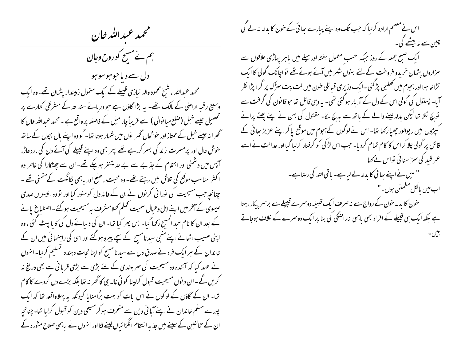محمد عبدالله خان

ہم نے مسح کوروح وجان دل سے دیاحوہوسوہو محمد عبداللہ ، شیخ محمود والہ نیازی قبیلے کے ایک متمول زمیندار یٹھان تھے۔وہ ایک وسیع رقسہ اراضی کے مالک تھے۔ بہ بڑا گاؤں ہے جو دریائے سند ھ کے مشرقی کنارے پر تحصیل عیلے خیل (صلع میا نوالی ) سے قریباً چار میل کے فاصلہ پر واقع ہے ۔ محمد عبداللہ خان کا گھرانہ عیلے خیل کے ممتاز اور خوشحال گھرا نوں میں شمار ہوتا تھا۔ گووہ اپنے پال بچوں کے ساتھ خوش حال اور پرمسرت زند گی بسر کررہے تھے پھر بھی وہ اپنے قبیلے کی آئے دن کی ماردھاڑ، سہیں میں دشمنی اور انتقام کے جذبے سے بے حد متنفر ہوچکے تھے۔ ان سے جھٹکارا کی خاطر وہ اکثر مناسب موقع کی تلاش میں رہتے تھے۔ وہ محبت ، صلح اور پاہمی لگانگت کےمتمنی تھے ۔ چنانچہ جب مسیحیت کی نورا فی کرنوں نے ان کے خانہ دل کومنور کیا اور تووہ انیسویں صدی عیسوی کے آخر میں اپنے اہل وعیال سمیت کھلم کھلامشرف یہ مسیحیت ہوگئے۔اصطباع پانے کے بعد ان کا نام عبد المسح رکھا گیا۔ بس بھر کیا تھا۔ ان کی د نیائے دل کی کایا پلٹ گئی ، وہ اپنی صلیب اٹھائے اپنے منجی سید نامسح کے سچے پیرو ہوگئے اور اسی کی راہنمائی میں ان کے خاندان کے ہر ایک فرد نے صدق دل سے سید نامسیح کو اپنا نجات دہندہ گسلیم کرلیا۔انہوں نے عہد کیا کہ آئندہ وہ مسیحیت کی سمر بلندی کے لئے بڑی سے بڑی قربانی سے بھی دریغ نہ کریں گے۔ان دیوں مسیحیت قسول کراپنا کو ئی خالہ جی کاٹھر یہ تھا بلکہ بڑے دل گردے کا کام تھا۔ ان کے گاؤں کے لوگوں نے اس بات کو بہت بڑا منایا کیونکہ یہ پہلاواقعہ تھا کہ ایک پورے مسلم خاندان نے اپنے آیا ئی دین سے منحرف ہو کر مسیحی دین کو قسول کرلیا تھا۔چنانچہ ان کے مخالفین کے سپنے میں جذبہ انتقام انگڑا ئباں لینے لگا اور انہوں نے باہمی صلاح مشورہ کے

اس نے مصمم ارادہ کرلیا کہ حب تک وہ اپنے پیارے بھائی کے حون کا بدلہ نہ لے گی چین سے نہ بیٹھے گی۔ ایک صبح جمعہ کے روز جبکہ حسب معمول ہفتہ اور میلے میں باہر پہاڑی علاقوں سے ہزاروں پٹھان خربدو فروخت کے لئے بنوں شہر میں آئے ہوئے تھے تواجانک گولی کا ایک تڑا خا ہوا اور ہموم میں تھلبلی پڑ گئی ۔ایک وزیری قبائلی حون میں لت پت سرگ پر گرا پڑا نظر آیا۔ پستول کی گولی اس کے دل کے آر بار ہو گئی تھی۔ یہ وہی قاتل تھاحو قانون کی گرفت سے تو بچ لکلا تھا لیکن بدلہ لینے والے کے باتھ سے ہر بچ سکا۔ مقتول کی بہن نے اپنے پھٹے پرانے کیپڑوں میں ریوالور چھیارکھا تھا۔ اس نے لوگوں کےہجوم میں موقع پاکر اپنے عزیز ہائی کے قاتل پر گولی چلا کر اس کا کام تمام کردیا۔ حب اس لڑ کی کو گرفتار کرلیا گیا اور عدالت نے اسے عمر قید کی سمزاسنائی تواس نے کھا " میں نے اپنے بھائی کا بدلہ لے لیاہے۔ باقی اللہ کی رضاہے۔ اب میں بالکل مطمئن ہوں۔" حون کا مدلہ حون کےرواج سے نہ صر**ف ایک قبیلہ دوسرے قبیلے** سے برسر پیکار رہتا ہے بلکہ ایک ہی قبیلے کے افراد بھی باہمی ناراضکی کی بنا پر ایک دوسرے کے خلاف ہوجاتے پىس -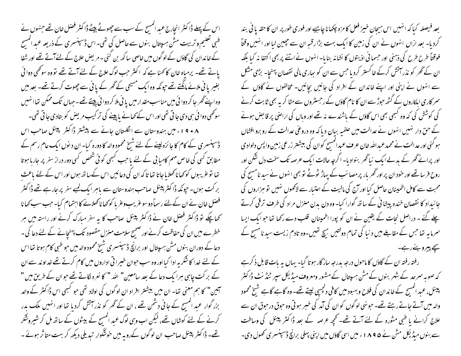اس کے پہلے ڈاکٹر انجارج عبد اکمسج کے سب سے چھوٹے بیٹے ڈاکٹر فصل خان تھے جنہوں نے طبی تعلیم و تربیت مش ہسپتال بنوں سے حاصل کی تھی۔اس ڈسپنسری کے ذریعہ عبد المسیح کے خاندان کی گاؤں کے لوگوں میں خاصی ساکھ بن گئی ۔ مریض علاج کے لئے آتے تھے اور شفا یاتے تھے۔ پرمیاہ خان کا کھنا ہے کہ اکثر حب لوگ علاج کے لئے آتے تھے تو وہ سوٹھی دوا ئی بغیر یا فی ملائے مانگتے تھے جونکہ وہ ایک مسیحی کے گھر کے یا نی سے چھوت کرتے تھے۔ بعد میں وہ اپنے گھر جا کر دوا ئی میں مناسب مقدار میں یا نی ملا کر دوا ئی پیتے تھے - جہاں تک ممکن تھا انہیں سوٹھی دوائی ہی دی جا تی تھی اور اس کے تھانے پاپینے کی تر کیب مریض کو بتادی جا تی تھی۔ ۸ + ۹ اء میں ہندوستان سے انگلستان جانے سے پیشتر ڈاکٹر پینل صاحب اس ڈسپنسری کے کام کا جائزہ لینے کے لئے شیخ محمود والہ کا دورہ کیا۔ ان دیوں ایک عام رسم کے مطابق کسی کی خاص مہم کامیا بی کے لئے باحب کسجی کوئی شخص کسی دور دراز سفر پر جارہا ہوتا تھا تو عریبوں کو کھانا کھلایا جاتا تھا تاکہ ان کی دعائیں اس کےساتھ ہوں اور اس کے لئے باعث بر کت ہوں۔ حیونکہ ڈاکٹر پینل صاحب ہندوستان سے ماہر ایک کمپے سفر پر جارہے تھے ڈاکٹر فصل خان نے ان کے لئے رسماً دوسوغریب وغر پا کو کھا ناکھلانے کا اہتمام کیا۔ حب سب کھا نا کچھاچکے تو ڈاکٹر فصل خان نے ڈاکٹر پینل صاحب کا یہ سفر مبارک کرنے اور راستہ میں ہر خطرے میں ان کی حفاظت کرنے اور ضمیح سلامت منزل مقصود تک پہنچانے کے لئے دعا کی ۔ دعا کے دوران بنوں مش ہسپتال اور برانچ ڈسپنسری شیخ محمود والہ میں حو طبی کام ہوتا تھا اس کے لئے خدا کا شکر یہ ادا کیا اور وہ سب حبوان خبیرا تی اداروں میں کام کرتے تھے خداو ند سے ان کے برکت جایبی ہرا یک دعا کے بعد سامعین" اللہ " کا نعرہ لگاتے تھے حوان کے طریق میں " آہین" کا ہم معنی تھا۔ ان میں بیشتر افراد ان لوگوں کی اولاد تھی جو کبھی اس ڈاکٹر کے والد بزر گوار عبد المسح کے جا فی دشمن تھے ، ان کے ٹھر کو نذر آتش کردیا تھا اور انہیں ملک بدر کرنے کے لئے کوشاں تھے، لیکن اب وہی لوگ عبد المسح کے بیٹوں کے ساتھ مل کر شیروشکر تھے۔ ڈاکٹر پینل صاحب ان لوگوں کےرویہ میں خونشگوار تبدیلی دیکھ کر بہت متاثر ہوئے ۔

بعد فیصله کیا که انهیں اس بیچان خیز فعل کا مزہ چکھانا چاہیے اور فوری طور پر ان کا حقہ یا فی بند کردیا۔ بعد ازاں انہوں نے ان کی زمین کا ایک بہت بڑارقسہ ان سے حجیبن لیا اور انہیں وقتاً فوقتاً طرح طرح کی ذہنی اور حسما فی اذیتوں کا نشانہ بنایا۔انهوں نے اتنے پر بھی اکتفا نہ کیا بلکہ ان کے گھر کو نذر آتش کرکے خاکستر کردیا جس سے ان کو ہیاری مالی نقصان پہنچا۔ بڑی مشکل سے انہوں نے اپنی اور اپنے خاندان کے افراد کی جانیں بچائیں۔ مخالفوں نے گاؤں کے سمر کاری اہلکاروں کے گٹھ حبوڑ سے ان کا نام گاؤں کے رجسٹروں سے مٹا کر یہ بھی ثابت کرنے کی کوشش کی کہ وہ کسجی بھی اس گاؤں کے باشندے نہ تھے اور وہاں کی اراضی پر قا بض ہونے کے حق دار نہیں انہوں نے عدالت میں حلفیہ بیان دیا کہ وہ دروعی عدالت کے روبرو افشاں ہو گئی اور عدالت نے محمد عبداللہ خان عرف عبدالمسح کوان کی بیشتر زرعی زمین واپس دلوادی اور پرانے گھر کے بدلے ایک نیاٹھر بنوادیا- اگرچہ حالات ایک عرصہ تک سخت دل شکن اور روح فرسا تھے اور حنود ان پر اور ٹھریار پر مصائب کے پہاڑ ٹوٹے تو بھی انہوں نے سید نامسح کی محبت سے کامل اطمینان حاصل کیا اور آج کی مالیت کے اعتیار سے لاکھوں نہیں تو ہزاروں کی جائیداد کا نقصان خندہ پیشا نی کے ساتھ گوارا کیا- وہ دن بدن منزل مراد کی طرف ترقی کرتے <u>چلے گئے ۔ دراصل نجات کے یقین نے ان کو پورا اطمینان قلب دے رکھا تھا حو ایک ایسا</u> سمرما ہہ تھا جس کے مقابلے میں د نیا کی تمام دولتیں ہیچ تھیں۔وہ تادم زیست سید نامسح کے سچے پیرو بنے رہے۔

رفتہ رفتہ ان کے گاؤں کا ماحول درجہ بدرجہ ساز گار ہوتا گیا۔ یہاں بہ بات قابل ذ کرہے کہ صوبہ سمرعد کے شہر بنوں کے مش ہسپتال کے مشور ومعروف میڈیکل سپر ٹیڈینٹ ڈاکٹر پینل، عبد المسح کے خاندان کی فلاح و بہبود میں کافی دلچسپی لیتے تھے۔ وہ گاہے گاہے شیخ محمود والہ میں آتے جاتے رہتے تھے۔ حبونہی لوگوں کو ان کی آمد کی خبر ہو تی وہ حبوتی درحبوق ان سے علاج کرانے یا طبی مشورہ کے لئے آتے تھے۔ تحچھ عرصہ کے بعد ڈاکٹر پینل کی وساطت سے بنوں میڈیکل مش نے ۱۸۹۵ء میں اسی گاؤں میں اپنی پہلی برانچ ڈسپنسری تھول دی۔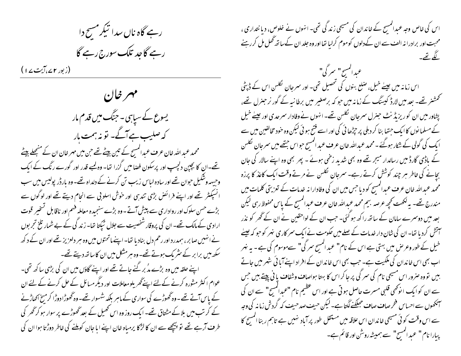رہے گاہ ناں سدا تیکر مسح دا رہے گاجد تلک سورج رہے گا

(زبور ۲۷،آیت ۱۷)

مهرخان یسوع کے سیاہی۔جنگ میں قدم مار کہ صلیب ہے آگے۔ نو نہ ہمت مار محمد عبد اللہ خان عرف عبدالمسح کے تین بیٹے تھے حن میں مہر خان ان کے منجھلے بیٹے تھے۔ان کا بچپن دلچسپ اور پرسکون فضامیں گزرا تھا- وہ کمپے قدر اور گورے رنگ کے ایک وجیہہ وشکیل حوان تھے اور سادہ لباس زیب تن کرنے کے دلداہ تھے۔ وہ بارڈر پولیس میں سب انسپکٹر تھے اور اپنے فرائض بڑی تندہی اور خوش اسلونی سے انحام دیتے تھے اور لوگوں سے بڑے حسن سلوک اور رواداری سے پیش آتے۔وہ بڑے سنجیدہ معاملہ فہم اور ناقابل تسخیر قوت ارادی کے مالک تھے۔ ان کی پروقار شخصیت سے جلال ٹیکتا نتا۔ زند کی کے بے شمار تلخ تجربوں نے انہیں صابر ، ہمدرد اور رحم دل بناد یا تھا- اپنے ماتحتوں میں وہ ہر دلعزیز تھے اور ان کے د کھ سکھ میں برابر کے سٹر بک ہوتے تھے۔وہ ہرمشکل میں ان کا ساتھ دیتے تھے۔ اپنے حلقہ میں وہ بڑے مدُ بر گنے جاتے تھے اور اپنے گاؤں میں ان کی بڑی ساکھ تھی۔ عوام اکثر مثورہ کرنے کےلئے اپنےٹھر پلومعاملات اور دیگر مسائل کے حل کرنے کے لئے ان کے پاس آتے تھے۔وہ گھوڑے کی سواری کے ماہر بلکہ شہوار تھے۔وہ گھوڑا دوڑا کر منخ اکھاڑنے کے کر تب میں بلاکے مشتاق تھے۔ ایک روز وہ اس تھمیل کے بعد تھوڑے پر سوار ہو کر ٹھر کی طرف آرہے تھے تو پیچھے سے ان کا لڑکا پرمیاہ خان اپنے ایا جان کوملنے کی خاطر دوڑتا ہوا ان کی

اس کی خاص وجہ عبدالمسیح کے خاندان کی مسیحی زندگی تھی۔ انہوں نے خلوص، دیا نتداری ، محبت اور برادرانہ الف سے ان کے دلوں کوموم کرلیا تھا اور وہ جلد ان کے ساتھ گھل مل کر رہنے لگمے تھے۔ عبدالمسح" سرگی" اس زمانہ میں عیلے خیل، صلع بنوں کی تحصیل تھی۔ اور سمرجان لکلس اس کے ڈپٹی تحمشنر تھے۔ بعد میں لارڈ کیسنگ کے زمانہ میں حو کہ برصغیر میں برطانیہ کے گور نر جنرل تھے، پشاور میں ان کو ریزیڈ نٹ حبنرل سمرجان لُکلس تھے۔ انہوں نے وفادار سمرحدی اور عِیسےٰ خیل کے مسلما نوں کا ایک جسّا بنا کر دہلی پر جبڑھا ئی کی اور اسے فتح ہو ئی لیکن وہ خود مخالفین میں سے ایک کی گولی کے شکار ہوگئے ۔ محمد عمداللہ خان عرف عمد المسح حبواس جتھے میں سمرجان لکلس کے باڈی گارڈمیں رسالدار میجر تھے وہ بھی شدید زخمی ہوئے ۔ پھر بھی وہ اپنے سالار کی جان بجانے کی خاطر ہر چند کوشش کرتے رہے۔ سمرجان لکلس نے مرتے وقت ایک کاعذ کا پرزہ محمد عبداللہ خان عرف عبدالمسیح کو دیا جس میں ان کی وفادارا نہ خدمات کے تعزیتی کلمات میں مندرج تھے۔ یہ لکھت کحچھ عرصہ بیم محمد عبداللہ خان عرف عبدالمسیح کے پاس محفوظ رہی لیکن بعد میں دوسمرے سامان کے ساتھ را کھ ہو گئی۔ حب ان کے لواحقین نے ان کے گھر کو نذر آتش کرد یا تھا۔ان کی شان دار خدمات کے صلے میں حکومت نے ایک سمر کاری نہر کو حبو کہ عیلے خیل کے طور وعرص میں بہتی ہے اس کے نام" عبد المسج سمر گی" سےموسوم کی ہے۔ یہ نہر اب بھی اس خاندان کی مکیت ہے۔ جب بھی اس خاندان کے افراد اپنے آیا ئی شہر میں جاتے بیبں تو وہ صرور اس مسیحی نام کی سمر گی پر جا کر اس کا بہتا ہواصاف وشفاف یا فی پیتے ہیں جس سے ان کو ایک انو گھی قلبی مسرت حاصل ہو تی ہے اور اس عظیم نام "عمدالمسح" سے ان کی ۔<br>سمجھوں سے احساس فخرصا**ف صاف حبلکنے لگتا ہے۔** لیکن حیف صدحیف کہ گردش زمانہ کی وجہ سے اس وقت کو ئی مسیحی خاندان اس علاقہ میں مستقل طور پر آباد نہیں ہے تاہم ربنا انمسِح کا پبارا نام" عبد المسج" سے ہمیشہ روشن اور قائم ہے۔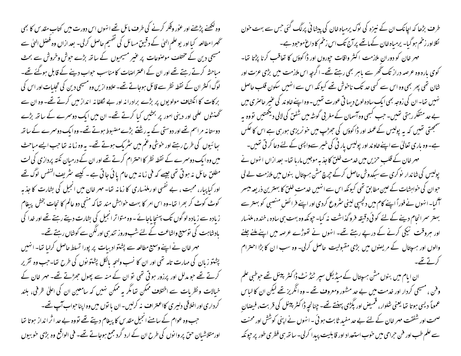وہ کھنے پڑھنے اور عور وفکر کرنے کی طرف مائل تھے انہوں اس دورت میں کتاب مقد س کا بھی ٹھمرامطالعہ کیا اور یو علم الیٰ کے دقیق مسائل کی تفہیم حاصل کرلی۔ بعد ازاں وہ فصل الہٰیٰ سے مسیحی دین کے مختلف موصنوعات پر عنیر مسیحیوں کے ساتھ بڑے حوش وخروش سے بحث مباحثہ کرتے رہتے تھے اور ان کے اعتراضات کا مناسب حواب دینے کے قابل ہوگئے تھے۔ لوگ اکنثر ان کے نقطہ نظر سے قائل ہوجاتے تھے۔علاوہ ازیں وہ مسیحی دین کی تجلبات اور اس کی برکات کا انکشاف مولویوں پر بڑے برادرا نہ اور بے نکلفا نہ انداز میں کرتے تھے۔ وہ ان سے گھنٹوں علمی اور دینی امور پر بخثیں کیا کرتے تھے۔ ان میں ایک دوسرے کے ساتھ بڑے دوستا نہ مراسم تھے اور دوستی کے بیررشتے بڑے مضبوط ہوتے تھے۔وہ ایک دوسمرے کے ساتھ بعائیوں کی طرح رہتے اور خوشی وغم میں سثر یک ہوتے تھے۔ یہ وہ زمانہ تعاجب ایسے مباحث میں وہ ایک دوسمرے کے نقطہ نظر کا احترام کرتے تھے اور ان کے درمیان نکتہ پردازی کی لت مطلق حائل نہ ہو تی تھی جیسے کہ فی زمانہ میں عام یا ئی جاتی ہے ۔ کیسے سٹریف اکنفس لوگ تھے اور کیا پیار، محبت ، بے نفسی او رملنساری کا زمانہ تھا۔ مہر خان میں انجیل کی بشارت کا جذبہ کوٹ کوٹ کر بھرا تھا-وہ اس امر کا بہت خواہش مند تھا کہ منجی دو عالم کا نجات بخش پیغام زیادہ سے زیادہ لو گوں تک پہنچا پاجائے - وہ متواتر انجیل کی بشارت دیتے رہتے تھے اور خدا کی بادشاہت کی توسیع واشاعت کے لئے شب وروز تند ہی اور لگن سے کوشاں رہتے تھے۔ مہر خان نے اپنے وسیع مطالعہ سے پشتواد بیات پر پورا تسلط حاصل کرلیا تھا۔ انہیں پشتو زبان کی مہارت تامہ تھی اور ان کا نسب ولہحہ پالکل پشتو نوں کی طرح تھا۔جب وہ تقریر کرتے تھے حبو مدلل اور پرزور ہوتی تھی تو ان کے منہ سے پھول حجڑتے تھے۔ مہر خان کے خیالات و نظریات سے اختلاف ممکن تعامگر یہ ممکن نہیں کہ سامعین ان کی اعلیٰ ظرفی، بلند کرداری اور اخلاقی دلیری کااعترا**ت** نه کرلیں-ان با نوں میں وہ اپناحواب آپ تھے-حب وہ عوام کے سامنے انجیل مقد س کا پیغام دیتے تھے تووہ بے حد اثر انداز ہوتا تھا اورمتلاشبان حق پر وا نوں کی طرح ان کے ارد گرد جمع ہوجاتے تھے۔ فی الواقع وہ بڑی خوبیوں

طرف بڑھا کہ اچانک ان کے نیزہ کی نوک پرمباہ خان کی پیشا ٹی پرلگ کئی جس سے بہت خون لگلااور زخم ہو گیا۔ یرمیاہ خان کے ماتھے پر آج تک اس زخم کا داع موحود ہے۔ مهر خان کو دوران ملازمت اکثر واقات حپوروں اور ڈاکوؤں کا تعاقب کرنا پڑتا تھا-کوی بارہ وہ عرصہ دراز تک گھر سے باہر بھی رہتے تھے۔ اگرچہ اس ملازمت میں بڑی عزت اور شان تھی پھر بھی وہ اس سے کسی حد تک ناخوش تھے کیونکہ اس سے انہیں سکون قلب حاصل <sup>نه</sup> بی<sub>ں</sub> تھا۔ان کی زوجہ بھی ایک سادہ لوح دیہا تی عورت تھیں۔وہ اپنے *خا*وند کی عنیر حاصری میں بے حد متفکر رہتی تھیں۔ جب کبھی وہ آسمان کے مغر بی گوشہ میں شفن کی لالی دیکھتیں تووہ ہہ منسمجھتی تھیں کہ یہ پولیس کےعملہ اور ڈاکوؤں کی جھڑپ میں خو نریزی ہورہی ہے اس کا عکس ہے۔ وہ باری تعالیٰ سے اپنےخاوند اور پولیس پار ٹی کی خیبر سےواپسی کے لئے دعا کر قی تھیں۔ مہر خان کے قلب حزیں میں خدمت خلق کاجذبہ موجیں ماربا تھا۔ بعد ازاں انہوں نے پولیس کی شاندار نوکری سے سبکدوش حاصل کرکے جرچ مش ہر پتال بنوں میں ملازمت لے لی حبوان کی خواہشات کے عین مطابق تھی کیونکہ اس سے انہیں خدمت خلق کا بہترین ذریعہ میسر آگیا۔انہوں نے فوراً اپنے کام میں دلچسپی لینی سٹروع کردی اور اپنے فرائض منصبی کو بہتر سے بہتر سمرانحام دینے کے لئے کوئی دقیقہ فروگذاشت نہ کیا۔حیونکہ وہ بہت ہی سادہ ،خندہ، ملنسار اور ہروقت نیکی کرنے کے درپے رہتے تھے۔ انہوں نے تھوڑے عرصہ میں اپنے ملنے جلنے والوں اور ہسپتال کے مریصوں میں بڑی مقبولیت حاصل کرلی۔ وہ سب ا ن کا بڑا احترام كرتے تھے۔

ان ابام میں بنوں مش ہسپتال کے میڈیکل سپر ٹیڈ نٹ ڈاکٹر پینل تھے حوطبی علم وفن ، مسیحی کردار اور خدمت میں بے حد مشہور ومعروف تھے ۔ وہ انگریز تھے لیکن ان کا لباس عموماً دیسی ہوتا تھا یعنی شلوار، قمیص اور پگڑی پہنتے تھے۔چنانچہ ڈاکٹر پینل کی قربت، فیصان صحت اور شفقت مہر خان کے لئے بے حد مفید ثابت ہو ئی ۔ انہوں نے اپنی کوشش اور محنت سے علم طب اور فن حراحی میں حوب استعداد اور قابلیت پیدا کرلی۔ ساتھ ہی فطر ی طور پر حیونکہ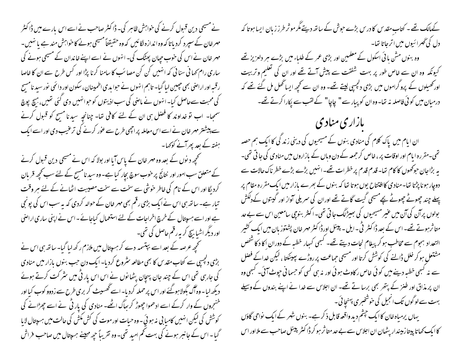نے مسیحی دین قبول کرنے کی خواہش ظاہر کی۔ ڈاکٹر صاحب نے اسے اس بارے میں ڈاکٹر مہرخان کے سپرد کردیاتا کہ وہ اندازہ لگائیں کہ وہ حقیقتاً مسیحی ہونے کا خواہش مند ہے یا نہیں۔ مہر خان نے اس کی حنوب حیان پھٹک کی۔ انہوں نے اسے اپنے خاندان کے مسیحی ہونے کی ساری رام <sub>ک</sub>ھا ٹی سنا ٹی کہ انہیں کن کن مصائب کا سامنا کرنا پڑا اور کس طرح سے ان کا خاصا ر قسہ اور اراضی بھی چیپین لیا گیا۔ تاہم انہوں نے حوا بدی اطمینان، سکون اور دائمی نور سید نامسیح کی محبت سےحاصل کیا۔انہوں نے ماضی کی سب اذیتوں کو حبوانہیں دی گئی تھیں، بہج پوچ سمجیا- اب نو خداوند کا فضل ہی ان کے لئے کافی تھا- چنانچہ سیدنا مسح کو قبول کرنے سے پیشتر مہر خان نے اسے اس معاملہ پر اچھی طرح سے عور کرنے کی ترعیب دی اور اسے ایک ہفتہ کے بعد پھرآنے کوکہا۔ سے محچھ دیوں کے بعد وہ مہر خان کے پاس آیا اور بولا کہ اس نے مسیحی دین قبول کرنے کے متعلق سب امور اور نتائج پر خوب سوچ بچار کبا ہے۔ وہ سید نامسیح کے لئے سب کحچھ قربان کردیگا اور اس کے نام کی خاطر خوشی سے سخت سے سخت مصیبت اٹھانے کے لئے ہر وقت تبار ہے۔ ساتھ ہی اس نے ایک بڑی رقم بھی مہر خان کے حوالہ کردی کہ بہ سب اس کی پونچی ہے اور اسے ہسپتال کے خرچ اخراجات کے لئے استعمال کیاجائے۔اس نے اپنی ساری اراضی اور دیگر اشیا بیچ کر به رقم حاصل کی تھی۔ کھچھ عرصہ کے بعد اسے بپتسمہ دے کر ہسپتال میں ملازم رکھ لبا گیا- ساتھ ہی اس نے بڑی دلچسپی سے کتاب مقدس کا بھی مطالعہ سٹروع کردیا۔ ایک دن حب بنوں بازار میں منادی کی جارہی تھی اس کے چند جان پہچان پٹھانوں نے اس اس پار ٹی میں سٹر کت کرتے ہوئے دیکھ لیا ۔ وہ آگ بگولاہوگئے اور اس پر حملہ کردیا۔ اسے تھسپیٹ کر بری طرح سے زدوو کوب کیا اور خنجروں کے وار کرکے اسے ادھموا چھوڑ کر بھاگ اٹھے۔ منادی کی بار ٹی نے اسے چھڑانے کی کوشش کی لیکن انہیں کامیابی نہ ہوئی۔وہ حیات اور موت کی کش مکش کی حالت میں ہسپتال لایا گبا۔اس کے جانبر ہونے کی بہت تھم امید تھی۔ وہ تقریباً چیرمہینے ہسپتال میں صاحب فراش

کےمالک تھے۔ کتاب مقدس کا درس بڑے حوش کے ساتھ دیتے مگر مو ٹر طرز زبان ایسا ہوتا کہ دل کی ٹھمرا ئیوں میں اتر جاتا تھا۔ وہ بنوں مش یا ٹی اسکول کے معلمین اور بڑی عمر کے طلباء میں بڑے ہر دلعزیز تھے کیونکہ وہ ان سے *فاص طور پر* بہت شفقت سے پیش *آتے تھے* اور ان کی تعلیم و تربیت اور تھیلوں کے پروگراموں میں بڑی دلچیپی لیتے تھے۔ وہ ان سے تحچھ ایسا تھل مل گئے تھے کہ درمیان میں کوئی فاصلہ نہ تھا-وہ ان کو پیار سے " چاچا" کے لقب سے پکارا کرتے تھے-بازاری منادی ان ایام میں پاک کلام کی منادی بنوں کے مسیحیوں کی دینی زند کی کا ایک ہم حصہ تھی۔مقررہ ایام اور اوقات پر ، خاص کر جمعہ کے دن وہاں کے بازاروں میں منادی کی جا تی تھی۔ یہ بڑاجان حوکھوں کا کام تھا- قدم قدم پر خطرات تھے-انہیں بڑے بڑے خطر ناک حالات سے دوچار ہونا پڑتا تھا۔منادی کاافتتاح یوں ہوتا تھا کہ بنوں کے بھرے بازار میں ایک مقررہ مقام پر پہلے چند چھوٹے چھوٹے بچے مسیحی گیت گاتے تھے اوران کی سمریلی آواز اور گیتوں کےدلکش بولوں پر آن کی آن میں عنیر مسیحیوں کی بھیڑلگ جا تی تھی۔اکثر بنوچی سامعین اس سے بے حد متاثرہوتے تھے۔اس کے بعد ڈاکٹر ٹی۔ایل۔ پینل اورڈاکٹر مہر خان پشتوز بان میں ایک کشیر التعداد ہجوم سے مخاطب ہو کر پیغام نجات دیتے تھے۔ کبھی کہجار خطبہ کے دوران اکا د کا شخص مشتعلِ ہو کر خلل ڈالنے کی کوشش کرتا اور مسیحی حماعت پر روڑے پہینکتا ، لیکن خداکے فصل سے نہ کسجی خطیبہ دینے میں کوئی خاص رکاوٹ ہوئی اور نہ ہی کسی کو حسمانی حپوٹ آئی۔ کسجی وہ ان پر مذاق اور طنز کے پتھر بھی برسا تے تھے۔ ان اجلاس سے خدا نے اپنے بندوں کے وسیلے بہت سے لوگوں تک انجیل کی خوشخبری پہنچا ئی۔ یہاں پرمیاہ خان کا ایک حیثم دید واقعہ قابل ذکر ہے۔ بنوں شہر کے ایک نواحی گاؤں کا ایک کھاتا پیتا زمیندار یٹھان ان اجلاس سے بے حد متا ثر ہو کر ڈا کٹر پینل صاحب سے ملااور اس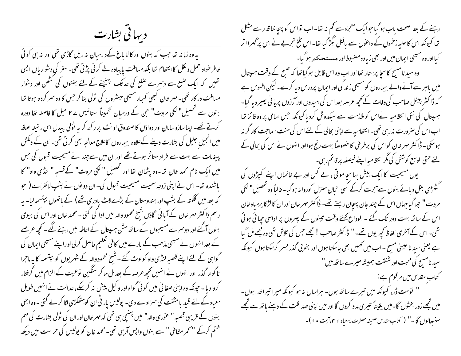دیہاتی بشارت

یہ وہ زمانہ تھا جب کہ بنوں اور کالا باغ کےد رمیان نہ ریل گاڑی تھی اور نہ ہی کوئی خاطر حواہ حمل و نقل کاا نتظام تھا بلکہ مسافت یا پیادہ طے کر ٹی پڑتی تھی۔سفر کی دشواریاں ایسی تھیں کہ ایک صلع سے دسمرے صلع کی حد تک پہنچنے کے لئے ہفتوں کی کٹھن اور دستوار مسافت در کار تھی۔ مہر خان کسمی کسار مسیحی مبسٹروں کی ٹولی بنا کر جس کا وہ سمر کردہ ہوتا تھا بنوں سے تحصیل" لکی مروت" حن کے درمیان تخمیناً ستائیس سے ۲ میل کا فاصلہ تھا دورہ کرتے تھے۔ اپنا سازو سامان اور دواؤں کا صندوق او نٹ پر رکھ کریہ ٹولی پیدل اس ر تیلہ علاقہ میں انجیل جلیل کی بشارت دینے کےعلاوہ بیماروں کاعلاج معالجہ بھی کرتی تھی۔ ان کے دلکش پیغامات سے بہت سےافراد متاثر ہوتے تھے اور ان میں سے چند نے مسیحیت قبول کی جس میں ایک نام محمد خان تھا-وہ بِٹھان تھا اور تحصیل " لکی مروت" کے قصبہ " لنڈی واہ" کا باشندہ تھا۔ اس نے اپنی زوجہ سمیت مسیحیت قبول کی۔ ان دو نوں نے بشپ لائفراے ( حبو کہ بعد میں کلکتہ کے بشپ اور ہندوستان کے بڑےلاٹ یادری تھے) کے ہاتھوں بپتسمہ لیا- یہ رسم ڈاکٹر مہر خان کے آبائی گاؤں شیخ محمود والہ میں ادا کی گئی - محمد خان اور اس کی بیوی بنوں آگئے اور دوسمرے مسیحیوں کے ساتھ مشن ہسپتال کے احاطہ میں رہنے لگے ۔محچھ عرصے کے بعد انہوں نے مسیحی مذھب کے بارے میں کافی تعلیم حاصل کرلی اوراپنے مسیحی ایمان کی گواہی کے لئے اپنے قصبہ لنڈی واہ کولوٹ گئے۔شیخ محمود والہ کے شہر یوں کو بپتسمہ کا میہ ماحرا نا گوار گذرا اور انہوں نے انہیں تحچیہ عرصہ کے بعد مل ملا کر سنگین نوعیت کے الزام میں گرفتار کروادیا - حیونکہ وہ اپنی صفا ئی میں کو ئی گواہ اور و کیل پیش نہ کرسکے، عدالت نے انہیں طویل f معیاد کے لئے قید بامشقت کی سمزاد ہے دی۔ پولیس یار ٹی ان کو ہتھکڑی لگا کر لے کئی۔وہ ابھی بنوں کے قریبی قصبہ " عور ی والہ" میں پہنیجی ہی تھی کہ مہر خان اور ان کی ٹولی بشارت کی مہم ختم کرکے "کحمر مشافی" سے بنوں واپس آرہی تھی۔محمد خان کو پولیس کی حراست میں دیکھ

رہنے کے بعد صحت پاب ہو گیا حوا یک معجزہ سے کم نہ تھا۔اب نواس کو پہچا ننا قدر سے مشکل تھا کیونکہ اس کا حلیہ زخموں کے داعوٰں سے بالکل بگڑ گیا تھا۔اس تلخ تجربے نے اس پرٹھمراا ثر کیااور وہ مسیحی ایمان میں اور بھی زیادہ مضبوط اور مستحکمہ ہوگیا-وہ سید نامسچ کا سجا پرستار تھا اور اب وہ اس قابل ہو گیا تھا کہ صبح کے وقت ہسپتال میں پاہر سے آنے والے بیماروں کو مسیحی زند گی اور ایمان پردرس دیا کرے۔لیکن افسوس ہے کہ ڈاکٹر پینل صاحب کی وفات کے تحیھ عرصہ بعد اس کی امیدوں اور آرزوں پریا نی پھیر دیا گیا۔ ہسپتال کی نئی انتظامیہ نےاس کو ملازمت سے سبکدوش کردیاکیونکہ حس اسامی پر وہ فائز تھا اب اس کی صرورت نہ رہی تھی۔انتظامیہ سے اپنی بحالی کے لئے اس کی منت سماجت کار گر نہ ہوسکی ۔ ڈاکٹر مہر خان کواس کی برطر فی کا خصوصاً بہت رنج ہوااور انہوں نے اس کی بحالی کے لئے حتی الوسع کوشش کی مگرا نتظامیہ اپنے فیصلہ پر قائم رہی۔ یوں مسیحیت کا ایک بیش بہاسچاموتی ، بے کس اور بے خانماں اپنے کیپڑوں کی گھھڑھی بغل دیائے بنوں سے ہجرت کرکے کسی انجان منزل کوروا نہ ہوگیا۔خالباً وہ تحصیل" لکی مروت " چلا گیاجہاں اس کے چند جان پہچان رہتے تھے۔ ڈا کٹر مہر خان اور ان کالڑکا پرمیاہ خان اس کے ساتھ بہت دور تک گئے ۔ الوداع کھتے وقت تیسوں کے چہروں پر اداسی حیا ئی ہوئی تھی۔ اس کے آخری الفاظ کحچھ یوں تھے۔ " ڈاکٹر صاحب ! مجھے جس کی تلاش تھی وہ مجھے مل گیا ہے یعنی سید ناعیسیٰ مسح ۔ اب میں تھمیں بھی جاسکتا ہوں اور بخو بی گذر بسر کرسکتا ہوں کیونکہ سید نامسح کی محبت اور شفقت ہمیشہ میرے ساتھ ہیں" کتاب مقدس میں مرقوم ہے: " نومت ڈر، کیونکہ میں تیرے ساتھ ہوں۔ ہراساں نہ ہو کیونکہ میرا تیراخدا ہوں۔ میں تجھے زور بخشوں گا۔میں یقیناً تیری مدد کروں گا اور میں اپنی صداقت کے دہنے یاتھ سے تجھے سنسجالوں گا۔" ( كتاب مقدس صحيفہ حصرت يسعياه ١ ٢، آيت • ١ )-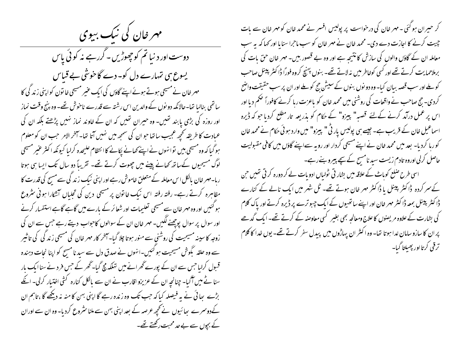مهر خان کی نیک بیوی

دوست اور د نیا تم کوچھوڑیں۔گررہے نہ کوئی پاس یسوع ہی تہارے دل کو۔ دے گاخوشی بے قباس مہر خان نے مسیحی ہوتے ہوئے اپنے گاؤں کی ایک عنیر مسیحی خا تون کو اپنی زند گی کا سائٹھی بنالیا تھا۔حالانکہ دو نوں کے والدین اس رشتہ سے قدرے ناخوش تھے۔ وہ بنیج وقت نماز اور روزہ کی بڑی پابند تھیں۔ وہ حیران تھیں کہ ان کے خاوند نماز نہیں پڑھتے بلکہ ان کی عبادت کا طریقہ تحجیہ عجیب ساتھا حوان کی سمجھ میں نہیں آتا تھا۔ آخر الامر حب ان کو معلوم ہوگیا کہ وہ مسیحی بیں توانہوں نے اپنے کھانے پکانے کا انتظام علیحدہ کرلیا کیونکہ اکثر عنیر مسیحی لوگ مسیحیوں کےساتھ کھانے پینے میں چھوت کرتے تھے۔ تقریباً دو سال تک ایسا ہی ہوتا رہا۔مہر خان پالکل اس معاملہ کے متعلق خاموش رہے اور اپنی نیک زندگی سے مسح کی قدرت کا مظاہرہ کرتے رہے۔ رفتہ رفتہ اس نیک خاتون پر مسیحی دین کی تجلیاں آنٹکارا ہوئی سٹروع ہو کئیں اور وہ مہر خان سے مسیحی تعلیمات اور شعائر کے بارے میں گاہے گاہے استفسار کرنے اور سوال پر سوال پوچھنے لگیں۔ مہر خان ان کے سوالوں کاحواب دیتے رہے جس سے ان کی زوجہ کا سینہ مسیحیت کی روشنی سے منور ہوتا چلا گیا۔آخر کار مہر خان کی مسیحی زند گی کی تاثیر سے وہ حلقہ بگوش مسیحیت ہو گئیں۔انہوں نے صدق دل سے سید نا مسح کو اپنا نحات دہندہ قبول کرلیا جس سے ان کے پورے گھرانے میں تہلکہ مچ گیا۔ گھر کے جس فر د نے سنا ایک بار سنا ٹے میں آگیا۔ چنانچہ ان کے عزیزو اقارب نے ان سے مالکل کنارہ گئی اختیار کرلی۔ انکے بڑے ہجائی نے بہ فیصلہ کیا کہ حب تک وہ زندہ رہے گا اپنی بہن کا منہ نہ دیکھے گا ،تاہم ان کےدوسرے پھائیوں نے تحیر عرصہ کے بعد اپنی بہن سے ملنا سثروع کردیا۔ وہ ان سے اوران کے بچوں سے بے حد محبت رکھتے تھے۔ کر حیران ہو گئی - مہر خان کی درخواست پر پولیس افسر نے محمد خان کو مہر خان سے بات چیت کرنے کا اجازت دے دی۔ محمد خان نے مہر خان کو سب ماحرا سنایا اور <sub>ک</sub>ہا کہ یہ سب معاملہ ان کے گاؤں والوں کی سازش کا نتیجہ ہے اور وہ بے قصور بیں۔ مہر خان حق بات کی برملاحمایت کرتے تھے اور کسی کوخاطر میں نہ لاتے تھے۔ بنوں پہنچ کروہ فوراً ڈاکٹر پینل صاحب کو ملے اور سب قصہ بیان کیا- وہ دو نوں بنوں کے سیش حج کو ملے اور ان پر سب حقیقت واضح کردی۔ حج صاحب نے واقعات کی روشنی میں محمد خان کو باعزت رہا کرنے کافوراً صحم دیا اور اس پر عمل درآمد کرنے کےلئے قصبہ" پیرو" کے حکام کو بذریعہ تار مطلع کردیا جو کہ ڈیرہ اسماعیل خان کے قریب ہے۔ جیسے ہی پولیس پار ٹی " پیزو" میں وارد ہوئی حکام نے محمد خان کوربا کردیا۔ بعد میں محمد خان نے اپنے مسیحی کردار اور رویہ سےاپنے گاؤں میں کافی مقبولیت حاصل کرلی اوروہ تادم زیست سید نامسیح کے سچے بیبرو بنے رہے۔

اسی طرح صلع کوہاٹ کے علاقہ میں بشار تی ٹولیاں ادویات لے کر دورہ کر تی تھیں حن کے سر کردہ ڈاکٹر پینل یا ڈاکٹر مہر خان ہوتے تھے۔ ٹل شہر میں ایک نالے کے کنارے ڈا کٹر پینل بمعہ ڈا کٹر مہر خان اور اپنے ساتھیوں کے ایک جبو ترے پر ڈیرہ کرتے اور پاک کلام کی بشارت کے علاوہ مریصنوں کا علاج ومعالجہ بھی بغیر کسی معاوصہ کے کرتے تھے۔ ایک گدھے پر ان کا سازو سامان لدا ہوتا تھا۔ وہ اکثر ان پہاڑوں میں پیدل سفر کرتے تھے۔ یوں خدا کا کلام ترقى كرتااور ببصيلتا گبا-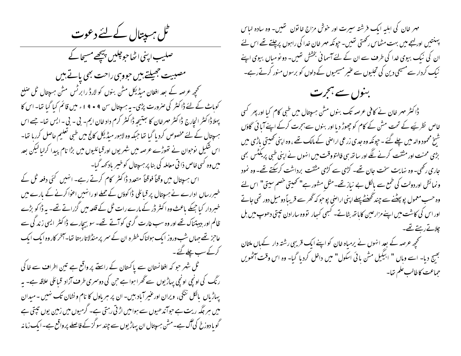طل ہسپتال کے لئے دعوت

صلیب اپنی اٹھاحوچلیں پیچھے مسیحا کے مصببیت جھیلتے ہیں حووہی راحت بھی پاتے ہیں کھچھ عرصہ کے بعد افغان میڈیکل مشن بنوں کو لارڈ را برٹس مش ہیپتال ٹل صلع کوباٹ کے لئے ڈاکٹر کی صرورت پڑمی۔ یہ ہسپتال سن ۹ • ۹ ا ء میں قائم کیا گیا تھا۔ اس کا پہلاڈا کٹر انجارج ڈاکٹر مہرخان کا بعتیجہ ڈاکٹر کرم داد خان ایم۔ بی ۔ بی ۔ایس تعا۔ جسے اس ہسپتال کے لئے مخصوص کردیا گیا تھا جبکہ وہ لاہور میڈیکل کالج میں طبی تعلیم حاصل کررہا تھا-اس شکیل نوحوان نے تھوڑے عرصہ میں شہر یوں اور قبائلیوں میں بڑا نام پیدا کرلیا لیکن بعد میں وہ کسی خاص ذا تی معاملہ کی بنا پر ہسپتال کوخیبر باد کھہ گیا۔ اس ہسپتال میں وقتاً فوقتاً متعدد ڈاکٹر کام کرتے رہے۔ انہیں گئی دفعہ ٹل کے خبررساں ادارے نے ہر پتال پر قبائلی ڈاکوؤں کے حملے اورانہیں اعوا کرنے کے بارے میں خبر دار کیا جبکے باعث وہ اکثر ڈر کے مارے رات ٹل کے قلعہ میں گزراتے تھے۔ یہ ڈاکو بڑے ظالم اور ہیبتناک تھے اور وہ سب غارت گری کوآنے تھے۔ سو سیارے ڈاکٹر ایسی زند گی سے عاجز تھے جہاں شب وروز ایک ہولناک خطرہ ان کے سمر پر منڈلاتار بیٹا تھا۔آخر کار وہ ایک ایک کرکے سب چلے گئے۔ ٹل شہر حو کہ افغانستان سے پاکستان کے راستے پر واقع ہے تین اطراف سے خاکی

ر نگ کی اونچی اونچی پہاڑیوں سے گھرا ہوا ہے حن کی دوسری طرف آزاد قبائلی علاقہ ہے۔ یہ یہاڑیاں بالکل ننگی، ویران اورغیر آباد بیں۔ ان پر ہر باول کا نام ونشان تک نہیں ۔ میدان میں ہر جگہ ریت ہے حوآندھیوں سے ہوامیں اڑتی رہتی ہے۔ گرمیوں میں زمین یوں تپتی ہے گویا دوزخ کی آگ ہے۔مش ہسپتال ان پہاڑیوں سے چند سو گز کے فاصلے پر واقع ہے۔ایک زما نہ مہر خان کی اہلیہ ایک فرشتہ سیرت اور خوش مزاج خاتون تھیں۔ وہ سادہ لباس پہنشیں اور لہجے میں بہت مٹھاس رکھتی تھیں۔ حپونکہ مہر خان خدا کی راہوں پرچلتے تھے اس لئے ان کی نیک بیوی خدا کی طرف سے ان کے لئے آسمانی بخشش تھیں۔ دو نومیاں بیوی اپنے نیک کردار سے مسیحی دین کی تجلیوں سے عنیر مسیحیوں کے دلوں کو برسوں منور کرتے رہے۔

بنوں سے ہجرت

ڈاکٹر مہر خان نے کافی عرصہ تک بنوں مش ہسپتال میں طبی کام کیا اور پھر کسی خاص نظر پَیے کے تحت مش کے کام کو چھوڑ دیا اور بنوں سے ہجرت کرکے اپنے آیا ئی گاؤں شنخ محمود والہ میں چلے گئے ۔ حیونکہ وہ جدی زرعی اراضی کے مالک تھے ، وہ اپنی تھیتی باڑی میں بڑی محنت اور مشقت کرنے لگے اور ساتھ ہی فالتو وقت میں انہوں نے اپنی طبی پریکٹس بھی حاری رکھی۔ وہ نہایت سخت حان تھے۔ کڑی سے کڑی مشقت برداشت کرسکتے تھے۔ وہ نمود ونمائش اوردولت کی طمع سے پالکل بے نیاز تھے۔مثل مشور ہے" تھیتی خصم سیتی" اس لئے وہ حسب معمول پو پہٹنے سے چند گھنٹے پہلے اپنی اراضی پو حو کہ گھر سے قریباً دو میل دور تھی جاتے اور اس کی کاشت میں اپنے مزارعین کاباتھ بٹاتے۔ کسجی کسجار تووہ سارادن تپتی دھوپ میں بل چلاتے رہتے تھے۔ کھچھ عرصہ کے بعد انہوں نے یرمیاہ خان کو اپنے ایک قریبی رشتہ دار کےہاں ملتان بھیج دیا- اسے وہاں " ابیگیل مش ہائی اسکول" میں داخل کردیا گیا- وہ اس وقت آٹھویں

حماعت كاطالب علم تعا-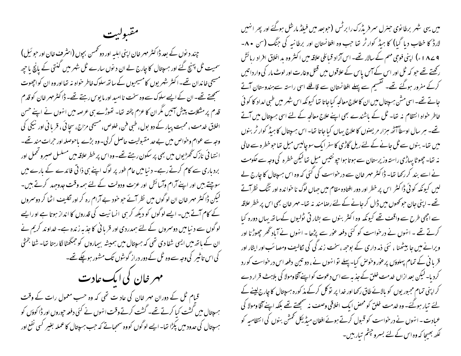مقبوليت

چند د نوں کے بعد ڈا کٹر مہر خان اپنی اہلیہ اور دو تھمس بچوں (اسٹرف خان اور حبو ئیل) سمیت ٹل پہنچ گئے اور ہسپتال کا چارج لے ان د نوں سارے ٹل شہر میں گنتی کے پانچ یا جیھ مسیحی خاندان تھے۔اکثر شہر یوں کامسیحیوں کے ساتھ سلوک خاطر خواہ نہ تھااور وہ ان کواچھوت سمجھتے تھے۔ ان کے ایسے سلوک سے وہ سخت نا امید اور ما یوس رہتے تھے۔ ڈا کٹر مہر خان کو قدم قدم پر مشکلات پیش آئیں مگر ان کا عزم پختہ تھا۔ تھوڑے ہی عرصہ میں انہوں نے اپنے حسن اخلاق خدمت ، محبت پیار کے دو بول، طبی فن، خلوص، مسیحی مزاج، سجا ئی ، قربا فی اور نیکی کی وجہ سے عوام وخواص میں بے حد مقبولیت حاصل کرلی۔وہ بڑے باحوصلہ اور حرات مند تھے۔ ا نتہائی نازک گھڑ یوں میں بھی پر سکون رہتے تھے۔وہ اس پر خطر علاقہ میں مسلسل صبر و قحمل اور بردباری سے کام کرتے رہے۔ د نیامیں عام طور پر لوگ اپنے ہی ذا تی فائدے کے بارے میں سوچتے ہیں اور اپنے آرام وآسائش اور عزت ودولت کے لئے ہمہ وقت جدوجہد کرتے ہیں۔ لیکن ڈاکٹر مہر خان ان لوگوں میں نظر آئے حو خود بے آرام رہ کر اور نکلیف اٹھا کر دوسمروں کے کام آتے ہیں۔ ایسے لوگوں کو دیکھ کر ہی انسانیت کی قدروں کا انداز ہوتا ہے او رایسے لوگوں سے د نبا میں دوسمروں کے لئے ہمدردی اور قریا فی کا جذبہ زندہ ہے۔ خداوند کریم نے ان کے باتھ میں ایسی شفا دی تھی کہ ہسپتال میں ہمیشہ بیماروں کو جمگھٹا لگارہتا تھا۔ شفا بخشی کی اس تاثیر کی وجہ سے وہ ٹل کے دور دراز گوشوں تک مشور ہو چکے تھے۔ مهر خان کی ایک عادت قیام ٹل کے دوران مہر خان کی عاد ت تھی کہ وہ حسب معمول رات کے وقت

<sup>م</sup> سپتال میں گشت کیا کرتے تھے۔ گشت کرتے وقت انہوں نے کئی دفعہ حپوروں اور ڈا کوؤں کو ہں پتال کی حدود میں پکڑا تھا۔ایسے لوگوں کووہ سمجیاتے کہ حب ہسپتال کا عملہ بغیر کسی نفع اور میں یہی شہر برطا نوی حسرل سر فریڈرک را برٹس (حوبعد میں فیلڈ مارشل ہوگئے اور پھر انہیں لارڈ کا خطاب دیا گیا) کا ہیڈ کوارٹر تھا جب وہ افغانستان اور برطانیہ کی جنگ (سن ۸۰۔ ۹ ے ۱۸ ء ) اپنی فوجی مهم کے سالار تھے۔ اس آزاد قبائلی علاقہ میں اکثر وہ بد اخلاق افراد رہائش رکھتے تھے جو کہ ٹل اور اس کے آئس پاس کے علاقوں میں قتل وغارت اور لوٹ مار کی وار دانتیں کرکے مفرور ہوگئے تھے۔ گقسیم سے پہلے افغانستان سے قافلے اسی راستہ سےہندوستان آتے جانے تھے۔ اسی مشن ہسپتال میں ان کاعلاج معالجہ کیاجاتا تھا کیونکہ اس شہر میں طبی امداد کا کو ٹی خاطر حواہ انتظام نہ تھا۔ ٹل کے باشندے بھی اپنے علاج معالجہ کے لئے اسی مہیبتال میں آتے تھے۔ ہیر سال اوسطاً آٹھ میزار مریضوں کا علاج یہاں کیا جاتا تھا۔ اس ہسپتال کا ہیڈ کوار ٹرینوں میں تھا۔ بنوں سے ٹل جانے کے لئے ریل گاڑی کا سفر ایک سوچالیس میل تعاجوخطرہ سے غالی نہ تھا۔ چھوٹا پہاڑی راستہ وزیرستان سے ہوتا ہواجپو نتیس میل تھالیکن خطرہ کی وجہ سے حکومت نے اسے بند کر رکھا تھا۔ ڈاکٹر مہر خان سے درخواست کی گئی کہ وہ اس ہسپتال کا چارج لے لیں کیونکہ کوئی ڈاکٹر اس پر خطر اور دور افتادہ مقام میں جہاں لوگ نا خواندہ اور تنگ نظرآتے تھے - اپنی جان حوکھوں میں ڈال کر جانے کے لئے رصامند نہ تھا- مہر خان بھی اس پر خطر علاقہ سے اچھی طرح سے واقف تھے کیونکہ وہ اکثر بنوں سے بشار تی ٹولیوں کےساتھ یہاں دورہ کیا کرتے تھے ۔ انہوں نے درخواست کو کئی دفعہ عوٰر سے پڑھا - انہوں نے آباد ٹھر چھوڑنا اور ویرانے میں جا بیٹھنا ، نئی ذمہ داری کے بوجھہ،سخت زند گی کی نکالیف ومصائب اور ایثار اور قر یا ٹی کے تمام پہلوؤں پرعور وخوص کیا۔ پہلے تو انہوں نے ، دو تین دفعہ اس درخواست کورد کردیا۔لیکن بعد ازاں خدمت خلق کے جذبہ سے اس دعوت کواپنےآقاومولا کی بلاہٹ قرار دے کر اپنی تمام مجبور یوں کو بالائے طاق رکھا اور خدا پر تو کل کرکے مذ کورہ ہسپتال کا چارج لینے کے لئے تبار ہوگئے۔ وہ خدمت خلق کو محض ایک اخلاقی وصف نہ سمجھتے تھے بلکہ اپنے آقا ومولا کی عبادت ۔ انہوں نے درخواست کو قسول کرتے ہوئے افغان میڈیکل ٹمش بنوں کی انتظامیہ کو ککھ بھیجا کہ وہ اس کے لئے بسروچشم تیار ہیں۔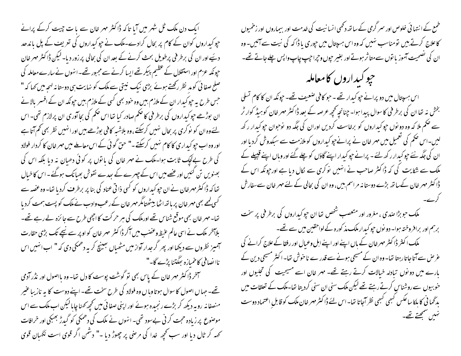ایک دن ملک ٹل شہر میں آیا تاکہ ڈاکٹر مہر خان سے یا ت چیت کرکے پرانے حپو کبداروں کوان کے کام پر بحال کرادے۔ملک نے حپو کبداروں کی تعریف کے پل ماندھد دیئیے اور ان کی برطر فی پرطویل بحث کرنے کے بعد ان کی بحالی پر زور دیا۔لیکن ڈاکٹر مہر خان حپونکہ عزم اور استقلال کے عظیم پیکر تھے ایسا کرنے سے مجبور تھے۔ انہوں نے سارے معاملہ کی صلح صفا ٹی کو مد نظر رکھتے ہوئے بڑی نیک نیتی سے ملک کو نہایت ہی دوستانہ لہجہ میں کہا کہ " جس طرح یہ جپو کیدار ان کے ملازم بیس وہ حنود بھی کسی کے ملازم بیس جپونکہ ان کے افسسر بالانے ان بوڑھے جو کیداروں کی برطر فی کا صحم صادر کیا تھا اس صحم کی بحا آوری ان پرلازم تھی۔ اس لئےوہ ان کو نوکری پر بحال نہیں کرسکتے ،وہ بلاشیہ کافی بوڑھے ہیں اور انہیں نظر بھی کم آتا ہے اور وہ اب حیو کیداری کا کام نہیں کرسکتے ۔" حن گو ئی کے اس معاملے میں مہر خان کا کردار فولاد کی طرح بےلیک ثابت ہوا۔ملک نے مہر خان کی یا توں پر کوئی دھیان نہ دیا بلکہ اس کی بھنویں تن کئیں اور عصے میں اس کے چہرے کے سِمدے نقوش بھیانک ہوگئے۔اس کا خیال تھا کہ ڈاکٹر مہر خان نے ان جو کیداروں کو کسی ذاتی عناد کی بنا پر برطرف کردیا تھا- وہ عضہ سے کسی کمیے بھی مہر خان پر باتھ اٹھا بیٹھتامگر مہر خان کے رعب وادب نے ملک کو پست ہمت کردیا تھا۔ مہر خان بھی موقع شناس تھے اورملک کی ہر حر کت کا اچھی طرح سے جا ئزہ لے رہے تھے۔ بلاہخر ملک نے اسی عالم عنیظ وعضب میں آکر ڈاکٹر مہر خان کو اوپر سے نیچے تک بڑی حقارت آمیز نظروں سے دیکھا اور پھر گرجدار آواز میں مٹھیاں بھینچ کر بہ دھمکی دی کہ " اب انہیں اس نااپضافی کاخمیازہ بھگتنا پڑے گا۔"

سمخر ڈاکٹر مہر خان کے پاس بھی تو گوشت پوست کا دل تھا- وہ بااصول اور نڈر آدمی تھے۔ حہا ں اصول کا سوال ہوتا وہا ں وہ فولاد کی طرح سخت تھے۔ اپنے دوست کا یہ نازیبا عنیر منصفانہ روبہ دیکھ کر بڑے رنجیدہ ہوئے اور اپنی صفائی میں تحچھ کھنا چایا لیکن اب ملک سے اس موصنوع پر زیادہ حجت کر ٹی بےسود تھی۔ انہوں نے ملک کی دھمکی کو گیدڑ بھبکی اور خرافات تحمه کر ٹال دیا اور سب تحچھ خدا کی مرحنی پر چھوڑ دیا -" دشمن اگر قوی است نگہان قوی طمع کے انتہائی خلوص اور سمر گرمی کے ساتھ دکھی انسانیت کی خدمت اور بیماروں اور زخمیوں کاعلاج کرتے ہیں تومناسب نہیں کہ وہ اس ہسپتال میں حپوری یا ڈاکہ کی نیت سے آئیں- وہ ان کی تصحیت آموز یا نوں سے متاثر ہوتے اور بغیر حیوں وحیراحیپ چاپ واپس چلے جاتے تھے۔

حپو کېداروں کامعامله

اس ہسپتال میں دو پرانے حیو کیدار تھے ۔ حو کافی صعیف تھے۔ حیونکہ ان کا کام تسلی بخش نہ تھا ان کی برطر فی کاسوال پیدا ہوا۔ چنانچہ تحچیہ عرصہ کے بعد ڈاکٹر مہر خان کوہیڈ کوارٹر سے صحم ملا کہ وہ دو نوں حیوکیداروں کو برخاست کردیں اوران کی جگہ دو نوحوان حیوکیدار رکھ لیں۔اس صحم کی تعمیل میں مہر خان نے پرانے حیو کیداروں کو ملازمت سے سبکدوش کردیا اور ان کی جگہ نئے حیو کیدار رکھ لئے۔ پرانے حیو کیدار اپنے گاؤں کو چلے گئے اور وہاں اپنے قبیلے کے ملک سے شکایت کی کہ ڈاکٹر صاحب نے انہیں نوکری سے لکال دیا ہے اور جونکہ اس کے ڈاکٹر مہر خان کےساتھ بڑے دوستا نہ مراسم بیں، وہ ان کی بحالی کے لئے مہر خان سےسفارش

مکک حوبڑا صدی ، مغرور اور متعصب شخص تھا ان حپو کیداروں کی برطرفی پر سخت برہم اور برافر وختہ ہوا۔ دو نوں حپو کیدار ملک مذ کورہ کے لواحقین میں سے تھے۔ ملک اکنٹر ڈاکٹر مہر خان کے باں اپنے اور اپنے اہل وعمال اور رفقا کے علاج کرانے کی عرض سے آتا جاتارہتا تھا۔وہ ان کے مسیحی ہونے سے قدر ے ناحوش تھا۔ اکثر مسیحی دین کے مارے میں دو نوں تیادلہ خیالات کرتے رہتے تھے۔ مہر خان اسے مسیحیت کی تجلیوں اور خو بیوں سے روشناس کرتے رہتے تھے لیکن ملک سنی ان سنی کردیتا تھا۔ملک کے تعلقات میں بد گھا نی کا بلکا ساعکس کمبھی کمبھی نظر آجاتا تھا۔اس لئے ڈاکٹر مہر خان ملک کو قابلِ اعتماد دوست نہیں سمجھتے تھے۔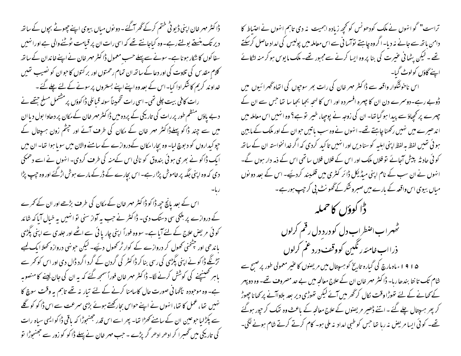ڈاکٹر مہر خان اپنی ڈیو ٹی ختم کرکے گھر آگئے - دو نوں میاں بیوی اپنے جھوٹے بجوں کے ساتھ دیر تک بنستے بولتےرہے۔وہ کیاجانتے تھے کہ اسی رات ان پر قیامت ٹوٹنےوالی ہے اورانہیں سفا کوں کا شکار ہونا ہے۔ سونے سے پہلے حسب معمول ڈا کٹر مہر خان نے اپنے خاندان کے ساتھ کلام مقد س کی تلاوت کی اور دعا کے ساتھ ان تمام رحمتوں اور بر کتوں کا حبوان کو نصیب تھیں خداوند کریم کاشکرادا کیا-اس کے بعد وہ اپنےاپنے بستروں پر سونے کے لئے چلے گئے ۔ رات کافی بیت چلی تھی۔اسی رات تخمیناً سولہ قبائلی ڈاکوؤں پر مشتمل مسلح جتھے نے د بے پاؤں منظم طور پر رات کی تاریخی کے پردہ میں ڈا کٹر مہر خان کے مکان پر دھاوا بول دیا ان میں سے چند ڈاکو پہلےڈاکٹر مہر خان کے مکان کی طرف آئے اور جپٹم زون ہسپتال کے حپو کیداروں کو د بوچ لیا۔ وہ بچارا مکان کےدروازے کے سامنے والان میں سویا ہوا تھا۔ ان میں ایک ڈاکو نے بھری ہوئی بندوق کو نالی اس کےمنہ کی طرف کردی۔ انہوں نے اسے دھمکی دی کہ وہ اپنی جگہ پر خاموش پڑارہے۔ اس بچارے کے ڈرکے مارے ہوش اڑکئے اور وہ جب پڑا اس کے بعد پانچ جیھ ڈاکو ڈاکٹر مہر خان کے مکان کی طرف بڑھے اور ان کے کمرے کے دروازے پر ہلکی سی دستک دی۔ ڈاکٹر نے حب یہ آواز سنی نو انہیں یہ خیال آیا کہ شائد کوئی مریض علاج کے لئے آیا ہے۔ سووہ فوراً اپنی چار یا ئی سے اٹھے اور جلدی سے اپنی پگڑی باندھی اور چٹخنی کھول کر دروازے کے کوار ٹر کھول دئیے۔ لیکن حونہی دروازہ کھلا ایک کمبے تڑنگے ڈا کو نے اپنی پگڑی کی رسی بنا کر ڈا کٹر کی گردن کے گرد اگرد ڈال دی اور اس کو تھر سے باہر کھینیچنے کی کوشش کرنے لگا۔ ڈاکٹر مہر خان فوراً سمجھ گئے کہ یہ ان کی جان لینے کا منصوبہ ہے۔ وہ موجودہ ناگہا نی صورت حال کاسامنا کرنے کے لئے تیار نہ تھے تاہم یہ وقت سوچ کا

نہیں تھا،عمل کا تھا،انہوں نے اپنےحواس بجارکھتے ہوئے بڑی سمرعت سے اس ڈاکو کو گلے سے پکڑلیا حبوعین ان کے سامنے کھڑا تھا۔ بھر اسے اس قدر جھنجوڑا کہ باقی ڈاکوایسی سیاہ رات کی تاریکی میں گھبرا کر ادھر ادھر گرپڑے ۔ جب مہر خان نے پہلے ڈاکو کو زور سے جھنبوڑا تو تراست" گو انہوں نے ملک کودھونس کو تحچھ زیادہ اہمیت بنہ دی تاہم انہوں نے احتیاط کا دامن باتھ سے جانے نہ دیا۔اگروہ جاہئے نوآسا فی سے اس معاملہ میں پولیس کی امداد حاصل کرسکتے تھے ۔ لیکن یٹھانی عنیرت کی بنا پر وہ ایسا کرنے سےمجبور تھے۔ ملک مایوس ہو کر منہ اٹکائے اپنے گاؤں کولوٹ گیا۔

اس ناخوشگوار واقعہ سے ڈاکٹر مہر خان کی رات بھر سوجوں کی اتفاہ گھرا ئیوں میں ڈوبے رہے۔دوسمرے دن ان کا چہرہ افسر دہ اور اس کا لہحہ بھجا بھجا سا تھا جس سے ان کے چہرے پر کچھاؤ سے پیدا ہو گیا تھا- ان کی زوجہ نے پوچھا، خیبر توہے؟ وہ انہیں اس معاملہ میں اند ھیرے میں نہیں رکھنا چاہتے تھے۔ انہوں نے وہ سب پاتیں حوان کے اور ملک کے مابین ہو ئی تھیں لفظ ہہ لفظ اپنی اہلیہ کوسنا دیں اور انہیں تاکید کردی کہ اگر خدانخواستہ ان کے ساتھ کوئی حاد ثہ پیش آجائے تو فلاں ملک اور اس کے فلاں فلاں ساتھی اس کے ذمہ دار ہوں گے۔ انہوں نے ان سب کے نام اپنی میڈیکل ڈائر کٹری میں قلمبند کردیئیے۔ اس کے بعد دو نوں مباں بیوی اس واقعہ کے بارے میں صبر وشکر کے گھونٹ پی کر چپ ہورہے ۔

ڈا کوؤں کا حملہ ٹھہراب اضطراب دل کو درد دل رقم کرلوں ذرااب خامئه رنگبین کووقف درد عم کرلوں

۱۵۱۵ء ماہ مارچ کی گبارہ تاریخ کو ہسپتال میں مریضوں کا عنیر معمولی طور پر صبح سے شام تک تا نتا بندھا رہا۔ ڈا کٹر مہر خان ان کے علاج معالجہ میں بے حد مصروف تھے۔ وہ دو پہر کے کھانے کے لئے تھوڑا وقت لکال کر گھر میں آئے لیکن تھوڑی دیر بعد بلاواآنے پر کھانا چھوڑ کر بھر ہسپتال چلے گئے ۔اتنے ڈھیر مریضوں کے علاج معالحہ کے باعث وہ تھک کر حپور ہوگئے تھے۔ کوئی ایسا مریض نہ رہا تھا جس کو طبی امداد نہ ملی ہو۔ کام کرتے کرتے شام ہونے لگی۔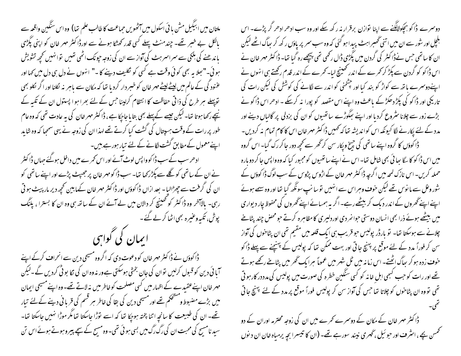ملتان میں ابیگیل مش یا ئی اسکول میں آٹھویں حماعت کا طالب علم تھا) وہ اس سنگین واقعہ سے پالکل بے خبر تھے۔ چندمنٹ پہلے کسی قدر کھٹکا ہونے سے اورڈا کٹر مہر خان کو اپنی پگڑی باندھنے کی ہلکی سے سمراسمر ہٹ کی آواز سے ان کی زوجہ جیونک اٹھی تھیں تو انہیں تحچھ تشویش ہوئی۔" ہجلا یہ بھی کوئی وقت ہے کسی کو نکلیف دینے کا -" انہوں نے دل ہی دل میں کہا اور عننود کی کے عالم میں لیٹے لیٹے مہر خان کو خسر دار کردیا تھا کہ مکان سے پاہر نہ لکلنا اور اگر لکلو بھی توپہلے ہر طرح کی ذاتی حفاظت کا انتظام کرلینا حس کے لئے بھرا ہو اپستول ان کے تکبہ کے سیبھے رکھا ہوتا تھا۔لیکن جیسے کے پہلے بھی بتا یا جاجکا ہے ، ڈا کٹر مہر خان کی یہ عادت تھی کہ وہ عام طور پر رات کے وقت ہسپتال کی گشت کیا کرتے تھے لہذاان کی زوجہ نے یہی سمجا کہ وہ شاید اپنے معمول کے مطابق گشت لگانے کے لئے تیار ہورہے بیں۔ ادھر سب کےسب ڈا کوواپس لوٹ آئے اور اس کمرے میں داخل ہوگئے حہاں ڈا کٹر نے ان کے ساتھی کو گلے سے پکڑ رکھا تھا۔ سب ڈاکومہر خان پر جھپٹ پڑے اور اپنے ساتھی کو ان کی گرفت سے چھڑالیا۔ بعد ازاں ڈا کوؤں اور ڈا کٹر مہر خان کےمابین تحجیہ دیر مار پیٹ ہو تی رہی۔ بالاآخر وہ ڈاکٹر کو تھینیچ کر دالان میں لے آئے ان کے ساتھ ہی وہ ان کا بسترا ، پاَنگ پوش، تکیپہ وعنیرہ بھی اٹھا کر لے گئے۔ ایمان کی گواہی ڈاکوؤں نے ڈاکٹر مہر خان کو دعوت دی کہ اگروہ مسیحی دین سے انحراف کرکے اپنے آبا ئی دین کو قسول کرلیں توان کی جان بخشی ہوسکتی ہے ور نہ وہ ان کی نکا بو ٹی کردیں گے۔لیکن مہر خان اپنےعقیدے کے اظہار میں کسی مصلحت کو خاطر میں نہ لاتے تھے۔وہ اپنے مسیحی ایمان میں بڑے مضبوط ومسٹحکم تھے اور مسیحی دین کی بقا کی خاطر مبر قسم کی قریا فی دینے کے لئے تبار تھے۔ ان کی طبیعت کا سانچہ اتنا پختہ ہوجکا تھا کہ اسے لوّڑا جاسکتا تھا مگر موڑا نہیں جاسکتا تھا-سید نامسح کی محبت ان کی رگ رگ میں بسی ہو ئی تھی۔وہ مسح کے سچے پیروہوتے ہوئے اس تن

دوسرے ڈاکو بچکولالگنے سے اپنا نوازن برقرار نہ رکھ سکے اور وہ سب ادھر ادھر گر پڑے۔ اس بلجل اور سور سے ان میں اتنی گھسر اہٹ پیدا ہو گئی کہ وہ سب سمر پر یاؤں رکھ کر ہیاگ اٹھے لیکن ان کا ساتھی جس نےڈا کٹر کی گردن میں پگڑی ڈال رکھی تھی بیٹچھ رہ گیا تھا۔ ڈا کٹر مہر خان نے اس ڈا کو کو گردن سے پکڑ کر تھرے کے اندر تھینیج لیا۔ کھرے کے اندر قدم رکھتے ہی انہوں نے اپنےدوسمرے پاتھ سے کواڑ کو بند کیا اور چٹخنی کو اندر سے لگانے کی کوشش کی لیکن رات کی تاریکی اور ڈاکو کی پکڑ دھکڑکے ماعث وہ اپنے اس مقصد کو پورا نہ کرسکے ۔ ادھر اس ڈاکو نے بڑے زور سے چلانا سٹروع کردیا اور اپنے مِککوڑے ساتھیوں کو ان کی بزدلی پر گالیاں دینے اور مدد کے لئے پکار نے لگا کیونکہ اس کواندیشہ تھا کہ ٹھمیں ڈاکٹر مہر خان اس کا کام تمام نہ کردیں۔ ڈا کوؤں کا گروہ اپنے ساتھی کی جسخ ویکار سن کر گھر سے کحچھ دور جا کر رک گیا۔ اس گروہ میں اس ڈاکو کاسکا سا ئی بھی شامل تھا۔اس نے اپنے ساتھیوں کومجبور کیا کہ وہ واپس جا کر دو بارہ حملہ کریں۔اس نازک لمحہ میں اگرچہ ڈا کٹر مہر خان کے اڑوس پڑوس کے سب لوگ ڈا کوؤں کے شور وغل سے مانوس تھے لیکن حو**ف وہر**اس سے انہیں تو سانپ سونگھ گیا تھا اور وہ سے ہوئے اپنے اپنے گھروں کے اندر دیک کر بیٹھے رہے۔اگر یہ ہمیائے اپنے گھروں کی محفوظ جار دیواری میں بیٹھے ہوئے ذرا بھی انسان دوستی حوانمر دی اوردلیری کامظاہرہ کرتے حو محض چند پٹانے چلانے سے ہوسکتا تھا۔ نو بارڈر پولیس حو قریب ہی ایک قلعہ میں مقیم تھی ان پٹاخوں کی آواز سن کر فوراً مدد کے لئے موقع پر پہنچ جاتی اور بہت ممکن تھا کہ پولیس کے پہنچنے سے پہلے ڈاکو خوف زدہ ہو کر بھاگ اٹھتے۔ اس زمانہ میں ٹل شہر میں عموماً سرایک ٹھر میں پٹاخے رکھے ہوتے تھے اور رات کو حب کسجی اہل خانہ کو کسی سنگین خطرہ کی صورت میں پولیس کی مدد در کارہو تی تھی تووہ ان پٹاخوں کو چلاتا تھا جس کی آواز سن کر پولیس فوراً موقع پر مدد کے لئے پہنچ جاتی ڈاکٹر مہر خان کے مکان کے دوسرے کمرے میں ان کی زوجہ محترمہ اوران کے دو تحمس بچے ، اسٹرف اور حو ئیل ،گھر ی نیند سورہے تھے۔ (ان کا تنیسرا بچہ پرمباہ خان ان د نوں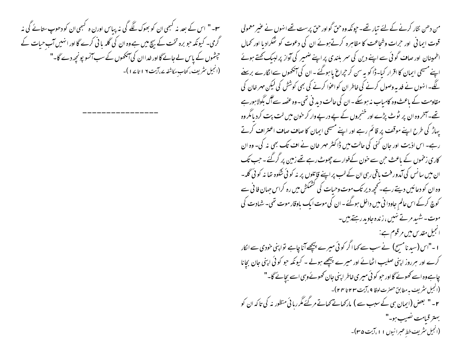**س -"** اس کے بعد نہ <sup>کہ</sup>می ان کو بھوک لگے گی نہ پباس اورن ہ <sup>کہ</sup>می ان کو دھوپ ستانے گی نہ گرمی۔ کیونکہ حبو برہ تخت کے بیچ میں ہے وہ ان کی گلہ یا ٹی کرے گا اور انہیں آب حیات کے چشموں کے پاس لے جانے گااور خداان کی آنکھوں کے سب آنسو پونچیہ دے گا-" (انجیل سٹریف، کتاب مکاشفہ ۱۲ پت ۱۹ تا ۱۷ )-

من دھن نثار کرنے کے لئے تیار تھے۔ حیونکہ وہ حقّ گواور حق پرست تھےانہوں نے عنیر معمولی قوت ایمانی ٔ اور حرات وشجاعت کا مظاہرہ کرتےہوئے ان کی دعوت کو شکرادیا اور محمال اطمینان اور صاف گوئی سے اپنے دین کی سمر بلندی پر اپنے ضمیر کی آواز پر لبیک کھتے ہوئے اپنے مسیحی ایمان کا اقرار کیا۔ڈا کو یہ سن کر حیراغ یا ہوگئے۔ان کی آنکھوں سےالگارے برسنے گئے۔انہوں نے فدیہ وصول کرنے کی خاطر ان کو اعوا کرنے کی بھی کوشش کی لیکن مہر خان کی مقاومت کے باعث وہ کامیاب نہ ہوسکے۔ان کی حالت دید نی تھی۔وہ عضبہ سے آگ بگولا ہورہے تھے۔آخروہ ان پر ٹوٹ پڑے اور خنعمروں کے پے درپے وار کر حون میں لت پت کردیامگر وہ یہاڑ کی طرح اپنے موقف پر قائم رہے اور اپنے مسیحی ایمان کا صاف صاف اعتراف کرتے رہے۔ اس اذیت اور جان کنی کی حالت میں ڈاکٹر مہر خان نے اف تک بھی نہ کی۔ وہ ان کاری زخموں کے باعث حن سے خون کےفوارے چھوٹ رہے تھے زمین پر گرگئے ۔ حب تک ان میں سانس کی آمدور فت یاقی رہی ان کے لب پر اپنے قإتلوں پر نہ کو ٹی شکوہ تھا نہ کو ٹی گلہ-وہ ان کو دعائیں دیتے رہے۔کچھ دیر تک موت وحیات کی کشمکش میں رہ کراس حہان فا فی سے کوچ کرکے اس عالم جاودا فی میں داخل ہوگئے۔ان کی موت ایک باوقار موت تھی۔ شہادت کی موت-شہید مرتے نہیں ، زندہ جاوید رہتے ہیں۔ انجیل مقدس میں مرقوم ہے: ا -"اس (سید نامسیح) نے سب سے کہا اگر کوئی میرے پیچھےآناچاہے تواپنی خودی سے انکار کرے اور ہرروز اپنی صلیب اٹھانے اور میرے پیچھے ہولے ۔ کیونکہ حو کوئی اپنی جان بچانا چاہے وہ اسے کھونے گا اور حبو کوئی میری خاطر اپنی جان کھونے وہی اسے بچائے گا-" (انجیل سثریف به مطابق حصرت لوقا ۹ ،آیت ۲۳ تا ۲۴ )-۲۔" بعض (ایمان ہی کے سبب سے ) مارکھاتے تھاتے مرگئے مگر رہائی منظور نہ کی تاکہ ان کو بهتر قبامت نصيب ہو۔" (انجیل سریف خط عبرانیوں ۱۱،آیت ۳۵)-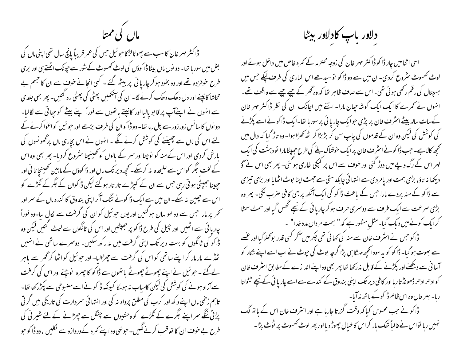ماں کی ممتا

ڈا کٹر مہر خان کا سب سے چھوٹالڑ کا حبو ئیل حس کی عمر قریباً پانچ سال تھی اپنی ماں کی بغل میں سورہا تھا۔ دو نوں ماں بیٹا ڈا کوؤں کی لوٹ کھسوٹ کے سور سے جونک اٹھتے ہی اور بری طرح خوفر دہ تھے اور وہ بخود ہو کر چاریا ئی پر بیٹھ گئے ۔ کسی انجانے خوف سے ان کا جسم بے تحاشا کانپنے اور دل دھک دھک کرنے لگا۔ ان کی آنکھیں پھٹی کی پھٹی رہ کئیں۔ پھر بھی جلدی سے انہوں نے اپنےآپ پر قابو پالیا اور کانپتے پانھوں سے فوراً اپنے بیٹے کو حیا تی سے لگالیا۔ دو نوں کا سانس زورزور سے چل رہا تھا۔ دو ڈاکوان کی طرف بڑھے اور حبو ئیل کواعوا کرنے کے لئے اس کی ماں سے چھپننے کی کوشش کرنے لگے ۔ انہوں نے اس بچاری ماں پرٹھونسوں کی بارش کردی اور اس کے منہ کو نوچنا اور سمر کے بالوں کو تھینیجنا سثروع کردیا۔ پھر بھی وہ اس کے لخت جگر کو اس سے علیحدہ نہ کرسکے۔ تحچھ دیر تک ماں اور ڈاکوؤں کے مابین تحصینجا تا فی اور حیدینا جیپٹی ہو تی رہی جس سے ان کے کیپڑے تار تار ہوگئے لیکن ڈاکوان کے جگرکے گھڑے کو اس سے جیبین نہ سکے۔ ان میں سے ایک ڈاکونے تنگ آکر اپنی بندوق کا کندہ ماں کے سمر اور تحمر پر مارا حس سے وہ لہو لہان ہو گئیں اور یوں حو ئیل کو ان کی گرفت سے لکال لیا۔وہ فوراً چار یا ئی سے اٹھیں اور چپل کی طرح ڈاکو پر جھپٹیس اور اس کی ٹانگوں سے لبیٹ گئیں لیکن وہ ڈا کو کی ٹانگوں کو بہت دیر تک اپنی گرفت میں نہ ر کھ سکیں۔ دوسرے ساتھی نے انہیں کچڑے مار مار کر اپنے ساتھی کو اس کی گرفت سے چھڑالیا- اور حو ئیل کو اٹھا کر گھر سے پاہر لےگئے ۔ حبو ئیل نے اپنے چھوٹے چھوٹے یاتھوں سے ڈاکو کا چہرہ پوچنے اور اس کی گرفت سے آزاد ہونے کی کوشش کی لیکن کامیاب نہ ہوسکا کیونکہ ڈا کو نے اسے مضبوطی سے پکڑ رکھا تھا۔ تاہم زخمی ماں اپنے د کھ اور کرب کی مطلق پرواہ نہ کی اور انتہائی سمر دارت کی تاریکی میں گر تی پڑتی ننگے سمر اپنے جگرے کے گڑے کووحشیوں سے چنگل سے چھڑانے کے لئے شیر نی کی طرح بے خوف ان کا تعاقب کرنے لگیں۔ حونہی وہ اپنے تھرہ کےدروازہ سے لکلیں ، دو ڈاکوحو

دلاور باب كادلاور بيظا

اسی اثنامیں چار ڈاکو ڈاکٹر مہر خان کی زوجہ محترمہ کے تمرہ خاص میں داخل ہوئے اور لوٹ تھسوٹ سٹروع کردی۔ان میں سے دو ڈاکو نو سیدھے اس الماری کی طرف لیکے جس میں ہسپتال کی رقم رکھی ہوئی تھی۔اس سے صاف ظاہر تھا کہ وہ گھر کے چپے چپے سے واقف تھے۔ انہوں نے تحرے کا ایک ایک گوشہ جیان مارا۔ اتنے میں اچانک ان کی نظر ڈاکٹر مہر خان کےسات سالہ بیٹے اسٹرف خان پر پڑی حوا یک چار یا ئی پر سورہا تھا۔ایک ڈا کو نے اسے پکڑنے کی کوشش کی لیکن وہ ان کے قدموں کی چاپ سن کر بڑبڑا کر اٹھ کھڑا ہوا۔ وہ تاڑ گیا کہ دال میں تحچھ کالاہے۔جب ڈاکونے اسٹرف خان پرایک خوفناک بلڈ کی طرح حجیبٹامارا تو دہشت کی ایک لہر اس کے رگ وپے میں دوڑ گئی اور خوف سے اس پر کمپکی طاری ہو گئی۔ پھر بھی اس نے آؤ دیکھا نہ تاؤ، بڑی ہمت اور یامر دی سے انتہائی چابکدستی سے جھٹ اپنا بوٹ اٹھایا اور بڑی تیزی سے ڈاکو کے منہ پردے مارا حس کے باعث ڈاکو کی ایک آنکھ پر بھی کافی صرب لگی۔ پھر وہ بڑی سمرعت سے ایک طرف سے دوسمری طرف ہو کر چاریا ئی کے نیچے تھس گیا اور سمٹ سمٹا کرایک کونےمیں دیک گیا۔مثل مشور ہے کہ" ہمت مرداں مدد خدا" ۔<br>۔ ڈا کو حس نے اسٹر ف خان سے منہ کی تھا ئی تھی چکر میں آکر کسی قدر بوتھلاگیا اور عصے سے بھوت ہو گیا۔ ڈاکو کو یہ سودانحچھ مہنگا ہی پڑا گرچہ بوٹ کی حپوٹ نے اب اسے اپنے شکار کو آسا فی سے دیکھنے اور پکڑنے کے قابل نہ رکھا تھا پھر بھی وہ اپنے اندازے کےمطابق اسٹر ف خان کوادھرادھرڈھونڈ تارہااور کافی دیر تک اپنی بندوق کے کندے سے اسے چاریائی کے نیچے ٹٹولتا ربا- بہر حال وہ اس ظالم ڈا کوکے باتھ نہ آیا-ڈاکو نے جب محسوس کیا کہ وقت گزر تا جارہا ہے اور اسٹرف خان اس کے ہاتھ لگ نہیں رہا نواس نے غالباً تھک ہار کراس کا خیال چھوڑ دیااور پھر لوٹ کھسوٹ پر ٹوٹ پڑا۔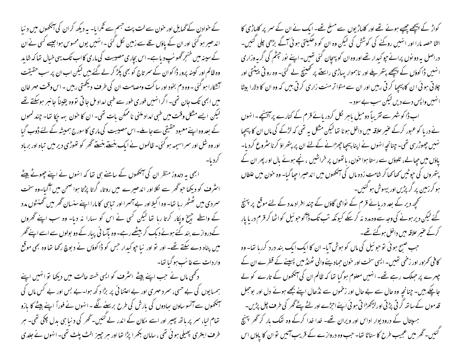کے خوادن کے گھایل اور خون سے لت بت جسم سے ٹکرایا۔ یہ دیکھ کر ان کی آنکھوں میں د نبا اندھیر ہو گئی اور ان کے پاؤں تلے سے زمین لکل گئی - انہیں یوں محسوس ہوا جیسے کسی نے ان کے سینہ میں خنع گھو نپ دیا ہے۔اس بچاری مصیبت کی ماری کااب تک یہی خبال تفا کہ شاید وہ ظالم اور کینہ پرور ڈاکوان کے سمر تاج کو بھی پکڑ کر لے گئے بیں لیکن اب ان پر سب حقیقت آتشکارا ہو گئی - وہ دم بخود اور سا کت ومصامت ان کی طرف دیکھتی رہیں - اس وقت مہر خان میں ابھی تک جان تھی۔ اگر انہیں فوری طور سے طبی امداد مل جا تی تووہ یقیناً جانبر ہوسکتے تھے لیکن ایسے مشکل وقت میں طبی امداد ملنی ناممکن بات تھی۔ ان کا حون بہہ جکا نفا۔ چند لمحوں کے بعد وہ اپنے معبود حقیقی سے جاملے۔اس مصیبت کی ماری کاسورج ہمیشہ کے لئے ڈوب گیا اور وہ شل اور سمر اسیمہ ہو گئی۔ ظالموں نے ایک بن<u>ستے</u> بن<u>ستے</u> تھحر کو تھوڑی دیر میں تباہ اور برباد

ابھی یہ دلدوز منظر ان کی آنکھوں کے سامنے ہی تھا کہ انہوں نے اپنے چھوٹے بیٹے ائثر ف کو دیکھا حو گھر سے لکلا اور اندھیرے میں روتا، گرتا پڑتا ہوا صحن میں آگیا۔وہ سخت سمردی میں تھٹھر رہا تھا۔ وہ اکیلا اور بے آمسرا اور تیابی کا مارا اپنے سنسان ٹھر میں تھنٹوں مدد کے واسطے جہنچ ویکار کرتا رہا تھا لیکن کسی نے اس کو سہارا نہ دیا- وہ سب اپنے گھروں کےدروازے بند کئے ہوئے دیک کر بیٹھے رہے۔وہ پآسا فی پیار کے دو بولوں سے اسے اپنے گھر میں پناہ دے سکتے تھے۔ اور تو اور نبا حپو کیدار جس کو ڈاکوؤں نے دبوچ رکھا تھا وہ بھی موقع واردات سےغائب ہو گیا تھا۔

د دکھی ماں نے جب اپنے بیٹے اسٹرف کو ایسی خستہ حالت میں دیکھا تو انہیں اپنے ہمسا یوں کی بے حسی، سمر د مہری اور بے اعتنا ئی پر بڑا د کھ ہوا۔بے بس اور بے کس ماں کی آنکھوں سے آنسو ساون سِادوں کی بارش کی طرح برسنے لگے ۔ انہوں نے فوراً اپنے بیٹے کا بازو تھام لیا، سمر پر باتھ بھیر اور اسے مکان کے اندر لے کئیں۔گھر کی د نیا ہی بدل چکی تھی۔ ہر طرف ابتتری پھیلی ہوئی تھی ، سامان بھھرا پڑا تھا اور مبر چیپز الٹ پلٹ تھی۔ انہوں نے جلدی

کواڑ کے پیچھے چھپے ہوئے تھے اور کلہاڑیوں سے مسلح تھے۔ ایک نے ان کے سمر پر کلہاڑی کا الٹا حصہ مارا اور انہیں روکنے کی کوشش کی لیکن وہ ان کو دھکیلتی ہوئی آگے بڑھی چلی گئیں۔ دراصل بہ دو نوں پرانے حیو کیدار تھے اور وہ ان کو پہچان گئی تھیں۔اپنے نور چشم کی گربہ وزار ی انہیں ڈاکوؤں کے پیچھے بتھر بلے اور ناہموار یہاڑی راستے پر تھینچ لے گئی۔ وہ رو تی پیٹتی اور چلاتی ہو ئی ان کا پیچیا کرتی رہیں اور ان سے متوا تر منت زاری کرتی ہیں کہ وہ ان کا دلارا بیٹا انہٰیں واپس دے دیں لیکن سب بے سود۔

اب ڈاکو شہر سے تقریباً دومیل پاہر لکل کردر پائے قرم کے کنارے پر آئینچے۔انہوں نے دریا کو عبور کرکے عنیر علاقہ میں داخل ہونا تھا لیکن مشکل ہیے تھی کہ لڑکے کی ماں ان کا پیچیا نہیں چھوڑرہی تھی۔چنانچہ انہوں نے اپنا پیچیا چھڑانے کےلئے ان پر پتھراؤ کرنا سٹروع کردیا۔ یاؤں میں حیالے، تلوؤں سے رستا ہوا خون، پانھوں پر خراشیں ، نچے ہوئے مال اور پھر ان کے پتھروں کی ح<sub>ج</sub>وٹیں کھاکھا کر شامتِ زدہ ماں کی آنکھوں میں اندھیراحچا گیا- وہ خون میں علطاں ہو کرزمین پر گر پڑیں اور بیہوش ہو گئیں۔

کھچھ دیر کے بعد دریائے قرم کے نواحی گاؤں کے چند افراد مدد کے لئے موقع پر پہنچ گئے لیکن دیر ہونے کی وجہ سے وہ مدد نہ کر سکے کیونکہ تب تک ڈآکو حو ئیل کواٹھا کر قرم دریا پار کرکے عنبیر علاقہ میں داخل ہوگئے تھے۔

حب صبح ہو ئی تو حو ئیل کی ماں کو ہوش آیا- ان کا ایک ایک بند درد کررہا تھا- وہ کافی کمرور اور زخمی تھیں۔ایسی سخت اور حون حمادینے والی ٹھنڈ میں پہینے کے قطرے ان کے چہرے پر حبلک رہے تھے۔ انہیں معلوم ہوگیا تھا کہ ظالم ان کی آنکھوں کے تارے کو لے جاچکے ہیں۔ چنانچہ وہ حال سے بے حال اور زخموں سے نڈھال اپنے بجھے ہوئے دل اور بوجل قدموں کے ساتھ گر ٹی پڑتی اور لڑکھڑا تی ہو ئی اپنے احرُّے اور لئے پنے ٹھر کی طرف چل پڑیں۔ ہسپتال کے درود یوار اداس اور ویران تھے۔ خدا خدا کرکے وہ تھک بار کر گھر پہنچ گئیں۔گھر میں عمجیب طرح کا سناٹا تھا۔ حب وہ دروازے کے قریب آئیں تو ان کا پاؤں اس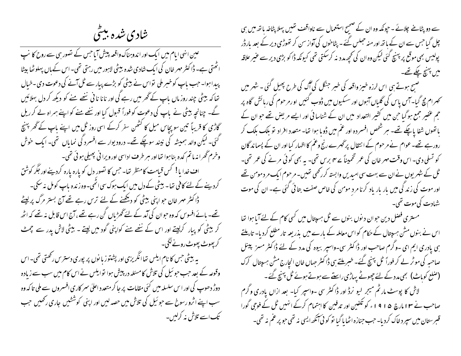شادی شده بیٹی

عین انٹی ایام میں ایک اور اندوہناک واقعہ پیش آیا جس کے نصور ہی سے روح کا نپ ائھتی ہے۔ ڈاکٹر مہر خان کی ایک شادی شدہ بیٹی لاہور میں رہتی تھی۔ اس کے ہاں پہلوٹھا بیٹا پیدا ہوا۔ حب باپ کوخبر ملی نواس نے بیٹی کو بڑے پیار سے ٹل آنے کی دعوت دی۔خیال تعا کہ بیٹی چند روز ماں باپ کے گھر میں رہے کی اور نانا نافی ننھے ہنے کو دیکھ کر دل بہلائیں گے۔ چنانچہ بیٹی نے باپ کی دعوت کو فوراً قسول کیا اور ننھے منے کو اپنے ہمراہ لے کر ریل گاڑی کا قریباً تین سو پچاس میل کا کٹھن سفر کرکے اسی روز ٹل میں اپنے باپ کے گھر پہنچ گئی۔ لیکن والد ہمیشہ کی نپند سوچکے تھے۔ درود یوار سے افسرد کی نمایاں تھی۔ ایک خوش وخرم گھرا نہ ماتم کدہ بنا ہوا تھااور ہر طرف اداسی اور ویرا فی پھیلی ہوئی تھی۔ اف خدا یا! کس قیامت کامنظر تھا۔ جس کا تصورِ دل کو یارہ یارہ کردینےاور جگر کوشق کردینے کے لئے کافی تھا۔ بیٹی کے دل میں ایک ہوک سی اٹھی۔وہ زندہ باپ کومل نہ سکی۔ ڈاکٹر مہر خان حواپنی بیٹی کو دیکھنے کے لئے ترس رہے تھے آج بستر مرگ پر لیٹے تھے۔ ہائے افسوس کہ وہ حبوان کی آمد کے لئے گھڑیاں کن رہے تھے ، آج اس قابل نہ تھے کہ اٹھ کر بیٹی کو پبار کرلیتے اور اس کے ننصے منے کواپنی گود میں لیتے ۔ بیٹی لاش یدر سے مچمٹ کر پھوٹ پھوٹ رونے لگی۔ په بېيځي حس کا نام ايلس حها انگريزي اور پشتوز با نوں پر پورې دسترس رکھتي تھي۔اس وقوعہ کے بعد حب حو ئیل کی تلاش کامسئلہ در پیش ہوا توایلس نے اس کام میں سب سے زیادہ دوڑ دھوپ کی اور اس سلسلہ میں گئی مقامات پر جا کر متعدد اعلیٰ سمر کاری افسروں سے ملی تا کہ وہ سب اپنے اثرو رسوخ سے حو ئیل کی تلاش میں حصہ لیں اور اپنی کوششیں جاری رکھیں جب تک اسے تلاش نہ کرلیں۔

سے دو پٹانے چلائے ۔ حپونکہ وہ ان کے صحیح استعمال سے ناواقف تھیں پہلا پٹاخہ باتھ میں ہی چل گیا جس سے ان کے باتھ اور منہ حجلس گئے - پٹاحوں کی آواز سن کر تھوڑی دیر کے بعد بارڈر پولیس بھی موقع پر پہنچ کئی لیکن وہ ان کی تحچھ مدد نہ کرسکتی تھی کیونکہ ڈاکو بڑی دیر سے عنیر علاقہ میں پہنچ چکے تھے۔

صبح ہوتے ہی اس لرزہ خیز واقعہ کی خبر جنگل کی آگ کی طرح پھیل گئی ۔ شہر میں تحمرام مچ گیا-آس پاس کی گلیاں آہوں اور سسکیوں میں ڈوب <sup>کہ</sup>یں او رمر حوم کی رہائش گاہ پر حجم عفیر جمع ہوگیا حن میں کشیر التعداد میں ان کے شناسا ئی اور ایسے مریض تھے حوان کے پانھوں شفا پاچکے تھے۔ ہر شخص افسر دہ اور عم میں ڈویا ہوا تھا۔ متعدد افراد تو بلک بلک کر رور ہے تھے۔عوام نے مرحوم کے انتقال پرٹھرے رنج وعم کا اظہار کیا اور ان کے پسما ند گان کو تسلی دی۔ اس وقت مہر غان کی عمر تخمیناً سے ہم برس تھی۔ یہ بھی کوئی مرنے کی عمر تھی۔ ٹل کے شہر یوں نے ان سے بہت سی امیدیں وابستہ کررکھی تھیں۔ مرحوم ایک مر دمومن تھے اور موت کی زند کی میں بار بار یاد کرنا مرد مومن کی خاص صفت بتا ئی گئی ہے۔ ان کی موت شہادت کی موت تھی۔

مستری فصل دین حوان دیوں بنوں سے ٹل ہر پتال میں کسی کام کے لئے آیا ہوا تھا اس نے بنوں مش ہسپتال کے حکام کو اس معاملہ کے بارے میں بذریعہ تار مطلع کردیا۔ تاریلتے ہی یادری ایم ای ۔وگرم صاحب اور ڈاکٹر سی-واسپر بیوہ کی مدد کے لئے ڈاکٹر مسز پینل صاحبہ کی موٹر لے کر فوراً ٹل پہنچ گئے۔ خبر ملتے ہی ڈاکٹر جہاں خان انجارج مش ہیپتال کرک (صلع کوباٹ) بھی مدد کے لئے جھوٹے پہاڑی راستے سے ہوتے ہوئے ٹل بہنچ گئے۔ لاش کا پوسٹ مارٹم میجر لیو نرڈ اور ڈاکٹر سی -واسپر کیا- بعد ازاں یادری و گرم صاحب نے ۱۳ مارچ ۱۹۱۵ء کو تکفین اور تدفین کا اہتمام کرکے انہیں ٹل کے فوجی گورا قسرستان میں سپر د خاک کردیا۔ حب جنازہ اٹھا پا گیا تو کوئی آنکھ ایسی نہ تھی حو پر عم نہ تھی۔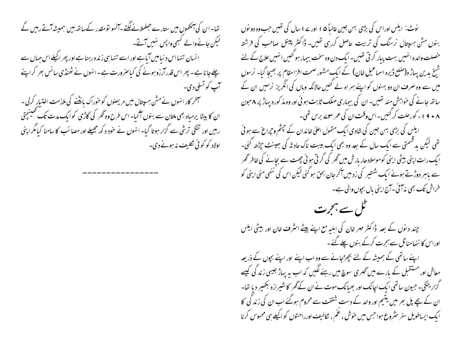تھا۔ان کی آنکھوں میں ستارے حجلملانے لگتے ۔آنسو تومقدر کے ساتھ ہیں ہمیشہ آتے رہیں گے کیکن جانےوالے کبھی واپس نہیں آتے۔ انسان تنہااس د نیامیں آباہے اور اسے تنہا ہی زندہ رہنا ہے اور پھر اکیلے اس حہاں سے چلے جانا ہے۔ پھر اس قدر آرزو ہونے کی کیاصرورت ہے۔انہوں نے ٹھنڈی سانس بھر کراپنے آپ کو تسلی دی۔ سمخر کار انہوں نے مش ہسپتال میں مریصوں کو حوراک مانکھنے کی ملازمت اختیار کرلی۔ ان کا بیٹا پرمیاہ بھی ملتان سے بنوں آگیا۔ اس طرح وہ گھر کی گاڑی کو ایک مدت تک تھینچتی رہیں اور تنگی ترشی سے گزار ہوتا گیا۔ انہوں نے خود د کھ جھیلے اور مصائب کا سامنا کیامگر اپنی اولاد کو کوئی نګلیف نه ہونے دی۔

نوٹ: ایلس اوراس کی بڑی بہن جین غالباً ۵ ا اور ۱ سال کی تھیں جب وہ دو نوں بنوں مش ہسپتال نرسنگ کی تربیت حاصل کررہی تھیں۔ ڈاکٹر پینل صاحب کی فرشتہ خصلت والدہ انہیں بہت پیار کر ٹی تھیں۔ایک دن وہ سخت بیمار ہو گئیں انہیں علاج کے لئے شیخ بدین بہاڑ ہ(صلع ڈیرہ اسماعیل خان) کے ایک مشور صحت افزامقام پر بھیجا گیا۔ نرسوں میں سے وہ صرف ان دو بہنوں کو اپنے ہمراہ لے کئیں حالانکہ وہاں کی انگریز نرسیں ان کے ساتھ جانے کی خواہش مند تھیں۔ ان کی بیماری مہلک ثابت ہوئی اور وہ مذ کورہ پہاڑ پر ۸جون ۸ + ۹ ا ء کورحلت کر گئیں۔اس وقت ان کی عمر ۶ سے برس تھی۔ ایکس کی بڑی بہن جین کی شادی ایک متمول اعلیٰ خاندان کے چشم وجراع سے ہوئی

تھی لیکن بدقسمتی سے ایک سال کے بعد وہ بھی ایک بیبت ناک حاد تُہ کی سِمینٹ حیِٹرھ گئی۔ ا یک رات اپنی بیٹی اپنی کوموسلادھار بارش میں گھر کی گر تی ہوئی چھت سے بجانے کی خاطر گھر سے باہر دوڑتے ہوئے ایک شہتیر کی زدمیں آکر جان بحق ہوگئی لیکن اس کی ننھی منی اینی کو خراش تک بھی نہ آئی ۔آج اپنی مال بجوں والی ہے۔



چند دیوں کے بعد ڈاکٹر مہر خان کی اہلیہ مع اپنے بیٹے اسٹرف خان اور بیٹی ایلس اوراس کا ننھامناٹل سےہجرت کرکے بنوں چلے گئے۔

اپنے ساتھی کے ہمیشہ کے لئے بچھڑجانے سے وہ اب اپنے اور اپنے بچوں کے ذریعہ معاش اور مستقبل کے بارے میں ٹھری سوچ میں رہنے لگیں کہ اب یہ پہاڑ جیسی زند گی کیے گزار ینگی۔ حبیون ساتھی ایک اچانک اور بھیانک موت نے ان کے گھر کا شیرازہ بکھیر دیا تھا۔ ان کے بچے پل بھر میں یتیم اور والد کے دست شفقت سے محروم ہوگئے اب ان کی زند گی کا ایک ایساطویل سفر مثروع ہوا جس میں حوش ، عم ، نکالیف اورراحتوں کو اکیلے ہی محسوس کرنا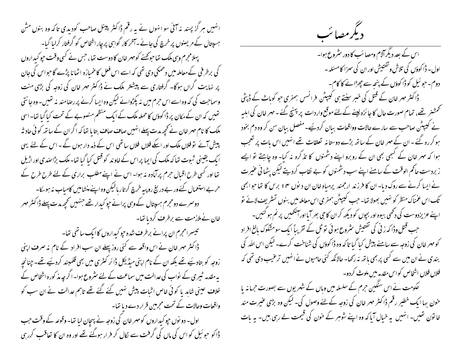انہیں ہر گز پسند یہ آئی سو انہوں نے یہ رقم ڈاکٹر پینل صاحب کودیدی تاکہ وہ بنوں مش ہسپتال کے مریضوں پر خرچ کی جائے۔آمخر کار گواہی پر چار اشخاص کو گرفتار کرلیا گیا۔ پہلامجرم وہی ملک تھاحوکھنے کومہر خان کا دوست تھا، جس نے کسی وقت حیو کیداروں گی برطر فی کےمعاملہ میں دھمکی دی تھی کہ اسے اس فعل کا خمیازہ اٹھانا پڑے گا حواس کی جان پر نہایت گراں ہوگا۔ گرفتاری سے پیشتر ملک نے ڈاکٹر مہر خان کی زوجہ کی بڑی منت وسماحت کی کہ وہ اسے اس حرم میں نہ پکڑوائے لیکن وہ ایسا کرنے پر رصامند نہ تھیں۔ وہ جا نتی تھیں کہ ان کے مکان پر ڈاکوؤں کا حملہ ملک کے ایک منظم منصوبے کے تحت کیا گیا تھا۔ اسی ملک کا نام مہر خان نے کچھ مدت پہلے انہیں صاف صاف بتایا تھا کہ اگران کے ساتھ کوئی حاد ثہ پیش آئے تو فلاں ملک اور اسکے فلاں فلاں ساتھی اس کے ذمہ دار ہوں گے ۔ اس کے لئے یہی ا یک یقینی شبوت تھا کہ ملک کی ایما پر اس کے خاوند کو قتل کیا گیا تھا۔ملک بڑاصدی اور اڑیل تھا اور کسی طرح اقبال حرم پر آمادہ نہ ہوا۔ اس نے اپنے مطلب براری کے لئے طرح طرح کے کے حربے استعمال کئے ور بے در پنج رو پیہ خرچ کرتار بالیکن وہ اپنے منشامیں کامیاب نہ ہوسکا۔ دوسرے دومجرم ہسپتال کے وہی پرانے حیو کیدار تھے جنہیں کحچھ مدت پہلے ڈا کٹر مہر خان نے ملازمت سے برطرف کردیا تھا۔ تیسرامجرم ان پرانے برطرف شدہ جو کیداروں کاایک ساتھی تھا۔ ڈاکٹر مہر خان نے اس واقعہ سے کئی روز پہلے ان سب افراد کے نام نہ صرف اپنی زوجہ کو بتادیَے تھے بلکہ ان کے نام اپنی میڈیکل ڈائر کٹری میں بھی قلمبند کردیَے تھے۔ چنانچہ بہ مقدمہ ٹیمری کے نواب کی عدالت میں سماعت کے لئے سثروع ہوا۔اگر چہ مذ کورہ اشخاص کے خلاف عینی شاہد یا کوئی خاص اثبات پیش نہیں کئے گئے تھے تاہم عدالت نے ان سب کو واقعات وحالات کے تحت مجرمین قرار دے دیا تھا۔ اول- دو نوں حپو کبداروں کو مہر خان کی زوجہ نے پہچان لیا تھا- وقوعہ کے وقت حب ڈا کو حو ئیل کو اس کی ماں کی گرفت سے لکال کر فرار ہوگئے تھے اور وہ ان کا تعاقب کررہی

دیگرمصائب

اس کے بعد دیگر آلام ومصائب کا دور سٹروع ہوا۔ اول – ڈاکوؤں کی تلاش وتفتیش اور ان کی سمزا کامسئلہ – دوم۔ حبو ئیل کوڈا کوؤں کے پنجہ سے چھڑانے کا کام۔ ڈاکٹر مہر خان کے قتل کی خبر سنتے ہی کیپٹن فرانس ہمفری حو کوہاٹ کے ڈپٹی تحمشنر تھے، تمام صورت حال کا جائزہ لینے کے لئے موقع واردات پر پہنچ گئے ۔ مہر خان کی اہلیہ نے کیپٹن صاحب سے سارے حالات وواقعات ببان کردیئیے۔مفصل ببان سن کر وہ دم بخود ہو کر رہ گئے ۔ان کے مہر خان کے ساتھ بڑے دوستانہ تعلقات تھے انہیں اس بات پر تعجب ہوا کہ مہر خان کے کبھی بھی ان کے روبرو اپنے دشمنوں کا تذکرہ نہ کیا- وہ چاہتے تو ایسے زبردست حاکم الوقت کے سامنے اپنے سب دشمنوں کو بے نقاب کردیتے لیکن پٹھا ٹی عنیرت نے ایسا کرنے سے روک دیا- ان کا فرزند ارجمند پرمیاہ خان ان دیوں ۱۴ برس کا تعاجوا بھی تک اس عمناک منظر کو نہیں بھولا تھا۔ جب کیپٹن ہمفری اس معاملہ میں بنوں تسثرِ بِف لائے نو اپنے عزیزدوست کی دکھی بیوہ اور بجوں کو دیکھ کران کا حی بھر آیااور آنکھیں پر نم ہو گئیں۔ حب قتل وڈا کہ زنی کی تفتیش سٹروع ہوئی تو ٹل کے تقریباً ایک سومشکوک بالغ افراد کو مہر خان کی زوجہ سے سامنے پیش کیا گیا تا کہ وہ ڈاکوؤں کی شناخت کرے۔ لیکن اس اللہ کی بندی نے ان میں سے کسی پر بھی باتھ نہ رکھا- حالانکہ کئی حامیوں نے انہیں ترعیب دی تھی کہ فلاں فلاں اشخاص کواس مقدمہ میں ملوث کردو۔ کحکومت نے اس سنگین حرم کے سلسلہ میں وہاں کے شہر یوں سے بصورت حرمانہ یا خون بہا ایک خطیر رقم ڈاکٹر مہر خان کی زوجہ کےلئے وصول کی۔ لیکن وہ بڑی عنیرت مند خانون تھیں۔انہیں یہ خیال آیا کہ وہ اپنے شوہر کے حون کی قیمت لے رہی ہیں۔ یہ بات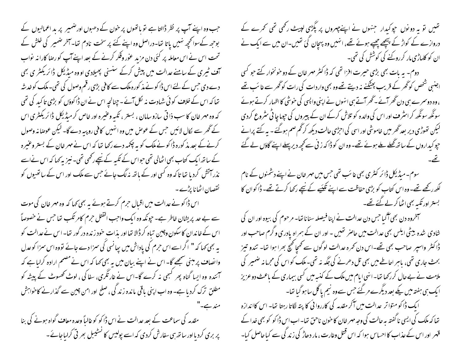جب وہ اپنے آپ پر نظر ڈالتا ہے نو پانھوں پر خون کے دھبوں اورضمیر پر ہد اعمالیوں کے بوحھ کےسوانحچھ نہیں پاتا تھا-دراصل وہ اپنے کئے پر سخت نادم تھا-آخر ضمیر کی خلش کے تحت اس نے اس معاملہ پر کئی دن مزید عوْر وفکر کرنے کے بعد اپنے آپ کو رصا کارا نہ نواب حق ٹیری کے سامنے عدالت میں پیش کرکے سنسنی پھیلادی اووہ میڈیکل ڈائریکٹر ی بھی دے دی جس کے لئے اس ڈا کو نے مذ کورہ ملک سے کافی بڑی رقم وصول کی تھی۔ ملک کو خدشہ تھا کہ اس کے خلاف کو ئی شہادت نہ لکل آئے ۔چنانچہ اس نے ان ڈاکوؤں کو بڑی تاکید کی تھی که وه مهر خان کا سب ذا تی سازوسامان ، بستر ، تکبه وعنیره اور خاص کر میڈیکل ڈائریکٹری اس کے گھر سے لکال لائیں جس کے عوص میں وہ انہیں کافی روپیہ دے گا۔ لیکن عوصا نہ وصول کرنے کے بعد مذ کورہ ڈاکو نے ملک کو بہ چکمہ دے رکھا تھا کہ اس نے مہر خان کے بستر وعنیرہ کے ساتھ ایک کتاب بھی اٹھالی تھی حواس کے تکبہ کے نیچے رکھی تھی۔ نیز یہ کہا کہ اس نےاسے نذر آتش کرد یا تھا تاکہ وہ کسی اور کے باتھ نہ لگ جائے جس سے ملک اور اس کے ساتھیوں کو نقصان اٹھانا پڑے۔

اس ڈاکو نے عدالت میں اقبال حرم کرتے ہوئے یہ بھی کھا کہ وہ مہر خان کی موت سے بے حدیدیشان خاطر ہے۔ حیونکہ وہ ایک واحب القتل حرم کامر تکب تھا حس نے خصوصاً اس کے خاندان کاسکون وچین تباہ کر ڈالا تھااور بذات حود زندہ در گور تھا۔اس نے عدالت کو یہ بھی کہا کہ " اگراسے اس حرم کی یاداش میں پپانسی کی سزا دے جائے تووہ اس سمزا کوعدل وانصاف پر مبنی سمجھے گا-اس نے اپنے بیان میں یہ بھی کہا کہ اس نے مصمم ارادہ کرلیاہے کہ آئندہ وہ ایسا گناہ بھر کسجی نہ کرے گا-اس نے غارتگری، سفا کی ، لوٹ کھسوٹ کے پیشہ کو مطلق ترک کرد یا ہے۔ وہ اب اپنی باقی ماندہ زند گی ، صلح اور امن چین سے گذار نے کاحواہش مقدمہ کی سماعت کے بعد عدالت نے اس ڈاکو کو غالباً وعدہ معاف گواہ ہونے کی بنا پر بری کردیا اور ساتھ ہی سفارش کردی کہ اسے پولیس کا تسٹیبل بھر تی کرایاجائے۔

تھیں تو یہ دونوں حوکیدار جنہوں نے اپنےچیروں پر پگڑی لپیٹ رکھی تھی تھرے کے دروازے کے کواڑ کے پیچھے چھپے ہوئے تھے، انہیں وہ پہچان کئ تھیں۔ان میں سے ایک نے ان کو کلہاڑی مار کر روکنے کی کوشش کی تھی۔ دوم۔ یہ بات بھی بڑی حیرت افزا تھی کہ ڈاکٹر مہر خان کے دو خونخوار کتے حو کسی اجنسی شخص کو گھر کے قریب پھٹکنے نہ دیتے تھے وہ بھی واردات کی رات کو گھر سے غا سَب تھے ، وہ دوسمرے ہی دن گھر آئے ۔گھر آتے ہی انہوں نے اپنی واپسی کی حوشی کا اظہار کرتے ہوئے سونگھ سونگھ کر اسٹر ف اور اس کی والدہ کو تلاش کرکے ان کے پیروں کی حیوما چا ٹی سٹروع کردی لیکن تھوڑی دیر بعد گھر میں خاموشی اور اسی کی احرُمی حالت دیکھ کر گھ صم ہوگئے ۔ یہ کتے پرانے حپو کیداروں کے ساتھ گھلے ملے ہوئے تھے۔ وہ ان کو ڈاکہ زنی سے کچھ دیر پہلے اپنے گاؤں لے گئے

سوم۔میڈیکل ڈائر کمٹری بھی غائب تھی جس میں مہر خان نے اپنے دشمنوں کے نام لکھ رکھے تھے۔ وہ اس کتاب کو بڑی حفاظت سے اپنے تکپَیے کے نیچے رکھا کرتے تھے۔ ڈاکوان کا بستر اور تکبہ بھی اٹھا کر لے گئے تھے۔

سمخروہ دن بھی آگیا جس دن عدالت نے اپنا فیصلہ سناناتھا۔ مرحوم کی بیوہ اور ان کی شادی شدہ بیٹی ایلس بھی عدالت میں حاصر تھیں - اور ان کے ہمراہ یادری و گرم صاحب اور ڈاکٹر واسپر صاحب بھی تھے۔اس دن کمرہ عدالت لو گوں سے تھھا کھیج بھرا ہوا تھا۔ تندو تیز بحث جاری تھی، پاہر احاطے میں بھی تل دھرنے کی جگہ نہ تھی۔ملک کواس کی مجرمانہ ضمیر کی ملامت نے بے حال کر رکھا نتا۔انہی ایام میں ملک کے کنسہ میں کسی بیماری کے ماعث دو عزیز ا یک ہی ہفتہ میں یکے بعد دیگرے مرگئے جس سےوہ نیم یا گل ساہو گیا تھا-ا یک ڈا کو متوا تر عدالت میں آکر مقدمہ کی کارروائی کا پتہ لگاتا رہتا تھا۔ اس کااندازہ تعا کہ ملک کی ایسی نا گفتہ یہ حالت کی وجہ مہر خان کا حنون ناحق تھا۔اب اس ڈا کو کو بھی خدا کے قہر اور اس کے عذاب کا احساس ہوا کہ اس قتل وعارت ، مار دھاڑ کی زند گی سے کیا حاصل کیا۔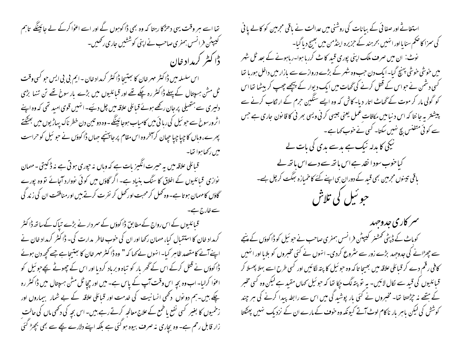تھا اسے ہر وقت یہی دھڑکا رہتا کہ وہ بھی ڈاکوہوں گے اور اسے اعوٰا کرکے لے جائینگے تاہم گیپیٹن فرانسس ہمفری صاحب نے اپنی کوششیں جاری رکھیں۔ دا کیٹر کرمداد خان اس سلسلہ میں ڈاکٹر مہر خان کا بعثیجا ڈاکٹر کرمداد خان -ایم بی بی ایس حو کسی وقت ٹل مشن ہسپتال کے پہلے ڈاکٹر رہ چکے تھے اور قبائلیوں میں بڑے بار سوخ تھے تن تنہا بڑی دلیری سے ہتھیلی پر جان رکھے ہوئے قبائلی علاقہ میں چل دئیے۔انہیں قوی امید تھی کہ وہ اپنے اثرورسوخ سے حو ئیل کی رہا ئی میں کامیاب ہوجائینگے۔وہ دو تین دن خطر ناک یہاڑیوں میں بھٹکتے پھرے،وہاں کا چیا چیا جیان کرآمخروہ اس مقام پر جا پہنچے جہاں ڈاکوؤں نے حو ئیل کو حراست

میں رکھاموا تھا۔ قبائلی علاقہ میں بہ حبیرت انگہز بات ہے کہ وہاں نہ حپوری ہو تی ہے نہ ڈ کیتی ۔ مہمان نوازی قبائلیوں کے اخلاق کا سنگ بنیاد ہے۔ اگر گاؤں میں کوئی نووارد آجائے تو وہ پورے گاؤں کا مہمان ہو تا ہے۔وہ تھل کر محبت اور تھل کر نفر ت کرتے ہیں اورمنافقت ان کی زند گی

قبائلیوں کے اس رواج کے مطابق ڈاکوؤں کے سمر دار نے بڑے تباک کےساتھ ڈاکٹر کرمداد خان کا استقبال کیا، مہمان رکھا اور ان کی حوب خاطر بدارت کی۔ ڈاکٹر کرمداد خان نے اپنے آنے کامقصد ظاہر کیا۔انہوں نے کہا کہ " وہ ڈاکٹر مہر خان کا جنتیجاہے جسے کچھ دن ہوئے ڈاکوؤں نے قتل کرکے اس کے گھر بار کو تباہ و برباد کردیا اور اس کے چھوٹے بچے جو ئیل کو اعوٰا کرایا۔ اب وہ بچہ اس وقت آپ کے پاس ہے۔ میں اور چچا ٹل مش ہسپتال میں ڈا کٹر رہ چکے ہیں۔ہم دو نوں دکھی انسانیت کی غدمت اور قبائلی علاقہ کے بے شمار بیماروں اور زخمیوں کا بغیر کسی نفع یا طمع کے علاج معالجہ کرتے رہے،بیں۔ اس بجہ کی دکھی ماں کی حالت زار قابل رحم ہے۔ وہ بچاری نہ صرف بیوہ ہو گئی ہے بلکہ اپنے دلارے پچے سے بھی بچھڑ گئی

استغاثے اور صفائی کے بیانات کی روشنی میں عدالت نے باقی مجرمین کو کالے یا فی کی سمزا کا صحم سنا یااور انہیں بحرہند کے حزیرہ اینڈمن میں بھیج دیا گیا-نوٹ: ان میں صرف ملک اپنی پوری قبید کا ٹے کررہا ہوا۔رہاہونے کے بعد ٹل شہر میں خوشی خوشی پہنچ گیا۔ ایک دن حب وہ شہر کے بڑے دروازے سے مازار میں داخل ہوریا تھا کسی دشمن نے حواس کے قتل کرنے کی گھات میں ایک دیوار کے بیچھے چھپ کر بیٹھا تھا اس کو گولی مار کر موت کے گھاٹ اتار دیا- کاش کہ وہ ایسے سنگین حرم کے ارتکاب کرنے سے پیشتر یہ جا نتا کہ اس د نیا میں مکافات عمل یعنی جیسی کرنی ویسی بھر نی کا قا نون جاری ہے جس سے کوئی متفنس بچ نہیں سکتا۔ کسی نے خوب کہاہے۔ نیکی کا بدلہ نیک ہے بدسے بدی کی بات لے کیا خوب سود ا نقد ہے اس باتھ سے دے اس باتھ لے باقی تیسوں مجرمین بھی قید کے دوران ہی اپنے کئے کا خمیازہ بھگت کر چل ہے۔ حبو ئبل کی تلاش

سمر کاری جدوجهد کوماٹ کے ڈپٹی کمشنر کیپٹن فرانسں ہمفری صاحب نے حو ئیل کو ڈاکوؤں کے پنجے سے چھڑانے کی جدوجہد بڑے زور سے سٹروع کردی۔ انہوں نے کئی مخبروں کو بلایا اور انہیں کافی رقم دے کر قبائلی علاقہ میں بھیجا تا کہ وہ حبو ئیل کا پتہ لگائیں اور کسی طرح اسے بہلا پھسلا کر قبائلیوں کی قید سے لکال لائیں۔ یہ تو پتہ لگ جکا تھا کہ حو ئیل کھاں مقید ہے لیکن وہ کسی مخبر کے ہتھے نہ حیڑھتا تھا۔ مخبروں نے کئی بار پوشید گی میں اس سے رابطہ پیدا کرنے کی ہر چند کوشش کی لیکن باہر بار ناکام لوٹ آتے کیونکہ وہ خوف کے مارے ان کے نزدیک نہیں پھٹکتا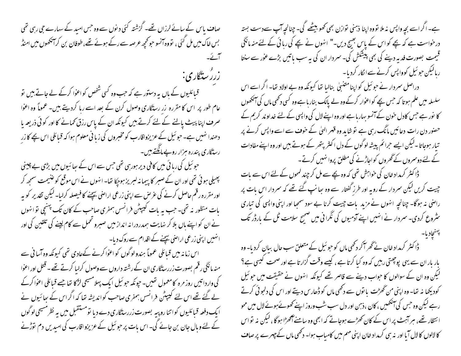صاف پاس کے سانے لرزاں تھے۔ گزشتہ کئی دیوں سے وہ جس امید کے سہارے جی رہی تھی بس خاک میں مل گئی ، تووہ آنسو حو کحچھ عرصہ سے رکے ہوئے تھے، طوفان بن کرآنکھوں میں امنڈ آگے۔ زرز ستگاری: قیائلیوں کے پاں پہ دستور ہے کہ جب وہ کسی شخص کواعوا کرکے لے جاتے بیں تو عام طور پر اس کا مقررہ زر رسنگاری وصول کرن کے بعد اسے رہا کردیتے ہیں۔ عموماً وہ اعوٰا صرف اپنا پیٹ پالنے کے لئے کرتے ہیں کیونکہ ان کے پاس رزق کھانے کا اور کوئی ذریعہ پا دھندا نہیں ہے۔ حو ئیل کے عزیزواقارب کو مخبروں کی زبانی معلوم ہوا کہ قبائلی اس بچے کا زر رسنگاری پندره مزار روپےمانگتے ہیں۔ حبو ئیل کی رہائی میں کافی دیر ہورہی تھی جس سے اس کے ہعائیوں میں بڑی بے چینی پھیلی ہوئی تھی اور ان کے صبر کا پیما نہ لسریز ہوچکا تھا۔ انہوں نے اس موقع کو عنیمت سمجھ کر اور مقررہ رقم حاصل کرنے کی عرص سے اپنی زرعی اراضی ییچنے کا فیصلہ کرلیا۔ لیکن تقدیر کو یہ بات منظور نہ تھی۔ جب ہہ بات کیپٹن فرانسں ہمفری صاحب کے کان تک پہنچی توانہوں نے ان کو اپنے بال بلا کر نہایت ہمدر درانہ انداز میں صبرو ٹھمل سے کام لینے کی تلقین کی اور ائهبیں اپنی زرعی اراضی بیچنے کے اقدام سے روک دیا۔ اس زمانہ میں قبائلی عموماً ہندولوگوں کو اعوٰا کرنے کےعادی تھی کیونکہ وہ آسا فی سے منہ مانگی رقم بصورت زررسڈگاری ان کے رشتہ داروں سے وصول کرایا کرتے تھے ۔ قتل اور اعوٰا کی واردا تیں روز مرہ کامعمول تھیں۔جیونکہ حو ئیل ایک پہلامسیحی لڑکا تھا جسے قبائلی اعوا کرکے لے گئے تھے اس لئے کیپٹن فرانسں ہمفری صاحب کواندیشہ تھا کہ اگراس کے ہعائیوں نے ایک دفعہ قبائلیوں کواتنا روپیہ بصورت زررستگاری دے دیا تومستقبل میں یہ نظرمسیحی لوگوں کے لئے وہال جان بن جائے گی۔ اس بات پر حو ئیل کے عزیزواقارب کی امیدیں دم توڑنے

ہے۔ اگر اسے بچہ واپس نہ ملا نووہ اپنا ذہنی نوازن بھی تھو بیٹھے گی۔ چنانچہ آپ سےدست بستہ درخواست ہے کہ پچے کو اس کے پاس بھیج دیں۔" انہوں نے بچے کی رہائی کے لئے منہ مانگی قیمت بصورت فدیہ دیئے کی بھی پیشکش کی۔ سمردار ان کی یہ سب ماتیں بڑے عور سے سنتا ربالیکن حبو ئیل کوواپس کرنے سے انکار کردیا۔ دراصل سمردار نے حو ئیل کو اپنا متنہلی بنالیا تھا کیونکہ وہ بے اولاد تھا۔ اگر اسے اس سلسلہ میں علم ہو تا کہ حس بچے کواعوار کرکے وہ لے پالک بنار ہاہے وہ کسی دکھی ماں کی آنکھوں کا نور ہے جس کادل حون کے آنسو بہاریا ہے اور وہ اپنے لال کی واپسی کے لئے خداوند کریم کے حصنور دن رات دعائیں مانگ رہی ہے تو شاید وہ قہر الہیٰ کے حوف سے اسے واپس کرنے پر تبار ہوجاتا -لیکن ایسے حرائم پیشہ لوگوں کے دل اکثر پتھر کے ہوتے بیں اور وہ اپنے مفادات کے لئے دوسروں کے گھروں کواجاڑنے کی مطلق پروا نہیں کرتے۔ ڈاکٹر کرمداد خان کی خواہش تھی کہ وہ بچے سے مل کر چند کمحوں کے لئے اس سے بات چیت کریں لیکن سمردار کے رویہ اور طرز گفتار سے وہ سِانپ گئے تھے کہ سمردار اس مات پر راضی نہ ہوگا۔ چنانچہ انہوں نے مزید بات جیت کرنا بے سود سمجا اور اپنی واپسی کی تیاری سٹروع کردی۔ سمردار نے انہیں اپنے آدمیوں کی نگرانی میں صحیح سلامت ٹل کے بارڈر تک ڈاکٹر کرمداد خان نے گھر آکر دکھی ماں کو حو ئیل کے متعلق سب حال بیان کردیا- وہ بار بار ان سے یہی پوچھتی رہیں کہ وہ کیا کرتا ہے ، کیسے وقت گزارتا ہے اور صحت کیسی ہے؟ لیکن وہ ان کے سوالوں کا حواب دینے سے قاصر تھے کیونکہ انہوں نے حقیقت میں حو ئیل کودیکھا نہ تھا۔ وہ اپنی من گھڑت یا نوں سے دکھی ماں کو ڈھارس دیتے اور اس کی دلجو ٹی کرتے رہے لیکن وہ جس کی آنکھیں ، کان ،ذہن اور دل سب شب وروز اپنے کھوٹے ہوئے لال میں محو انتظار تھے، ہر آہٹ پر اس کے کان کھڑے ہوجاتے کہ ابھی وہ سامنے آٹھڑا ہوگا ، لیکن نہ نواس

کا لالوں کا لال آیا اور نہ ہی کرمداد خان اپنی مہم میں کامیاب ہوا۔ دکھی ماں کے چہرے پر صاف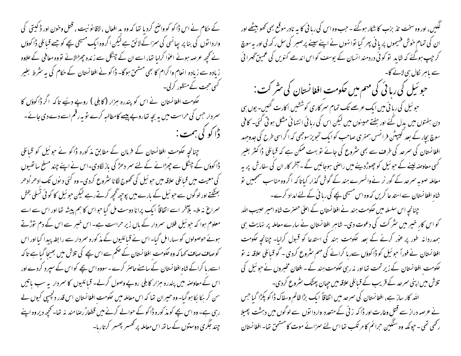کے حکام نے اس ڈاکو کو واضح کردیا تھا کہ وہ ید افعال ، لاقا نو نیت ، قتل وحون اور ڈ کیتی گی واردا نوں کی بنا پر پیانسی کی سمزا کے لائق ہے لیکن اگروہ ایک مسیحی بچے کو جسے قبائلی ڈاکوؤں نے کچھ عرصہ ہوئے اعوٰا کرلیا تھا، اسے ان کے چنگل سے زندہ چھڑالائے تووہ معافی کے علاوہ زیادہ سے زیادہ انعام واکرام کا بھی مشحق ہوگا۔ ڈاکونے افغانستان کے حکام کی بیرسٹرط بغیر کسی حجت کے منظور کرلی۔ کھومت افغانستان نے اس کو بندرہ ہزار (کابلی ) روپے دیئے تاکہ اگر ڈاکوؤں کا  $\vec{ }$ سر دار جس کی حراست میں یہ بجہ تھاروپے پیسے کامطالبہ کرے تو یہ رقم اسے دے دی جائے ۔ ڈاکو کی ہمت : چنانچہ حکومت افغانستان کے فرمان کے مطابق مذکورہ ڈاکو نے حو ئیل کو قبائلی ڈاکوؤں کے چنگل سے چھڑانے کے لئے سمر دھڑ کی باز لگادی۔اس نے اپنے چند مسلح ساتھیوں کی معیت میں قبائلی علاقہ میں حو ئیل کی تھوج لگانا سثروع کردی۔ وہ کئی دیوں تک ادھراُدھر بھٹکتے اور لوگوں سے حو ئیل کے مارے میں پوچیے گجھ کرتے رہے لیکن حو ئیل کا کو ٹی تسلی بخش سمراغ نہ ملا۔ بلآخر اسے اتفاقاً ایک پرانا دوست مل گیا حبو اس کا ہم پیشہ تھا اور اس سے اسے معلوم ہوا کہ حو ئیل فلاں سمردار کے باں زیر حراست ہے۔ اس خبر سے اس کے دم توڑتے ہوئے حوصولوں کو سہارامل گیا۔اس نے قیائلیوں کے مذکورہ سمردار سے رابطہ پیدا کیااور اس کوصاف صاف کہا کہ وہ حکومت افغانستان کے حکم سے اس بچے کی تلاش میں بھیجا گیا ہے تا کہ اسےرہا کراکے شاہ افغانستان کے سامنے حاصر کرے۔سووہ اس بچے کواس کے سپر د کردے اور اس کے معاوصہ میں پندرہ ہزار کابلی روپے وصول کرلے۔ قبائلیوں کا سمردار یہ سب پاتیں سن کر ہکا بکا ہو گیا۔ وہ حبیران تھا کہ اس معاملہ میں حکومت افغانستان اس قدر دلچسپی کیوں لے رہی ہے۔ وہ اس بچے کو مذ کورہ ڈا کو کے حوالے کرنے میں قطعارؐ رضامند نہ تھا۔ کحچھ دیروہ اپنے چند جگری دوستوں کے ساتھ اس معاملہ پر تھسر پھسر کرتاریا۔

گکیں، اور وہ سخت تذبرنب کا شکار ہوگئے ۔حب وہ اس کی ربا ٹی کا یہ نادر موقع بھی کھو بیٹھے اور ان کی تمام خوش فہیموں پر یا نی پھر گیا توانہوں نے اپنے سپنے پرصبر کی سل رکھ لی اور بہ سوچ کر جب ہوگئے کہ شاید تو کو ئی دردمند انسان کے پوسف کو اس اندھے کنویں کی عمیق گھرا ئی حبو ئیل کی رہا ئی کی مہم میں حکومت افغانستان کی سٹر کت : حبو ئیل کی رہائی میں ایک عرصے تک تمام سمر کاری کوششیں اکارت کئیں۔ یوں ہی ِ دن ہفتوں میں بدل گئے اور ہفتے مہینوں میں لیکن اس کی رہا ئی انتہا ئی مشکل ہو تی گئی۔ کافی سوچ بجار کے بعد کیپیٹن فرانسس ہمفری صاحب کوایک تجویزسوجھی کہ اگراسی طرح کی جدوجہد افغانستان کی سمرحد کی طرف سے بھی سٹروع کی جائے تو بہت ممکن ہے کہ قبائلی ڈاکٹر بغیر گسی معاوصہ لینے کے حبو ئیل کو چھوڑ دینے میں راصی ہوجائیں گے ۔آخر کار ان کی سفارش پر بہ معاملہ صوبہ سرحد کے گور نر نےوائسرے ہند کے گوش گذار کیاتا کہ اگروہ مناسب سمجییں تو شاہ افغانستان سے استد عا کریں کہ وہ اس مسیحی بچے کی رہا ئی کے لئے امداد کرے۔ چنانچہ اس سلسلہ میں حکومت ہند نے افغا نستان کے اعلیٰ حصرت شاہ امیر حیبیب اللہ کو اس کار خیبر میں سٹر کت کی دعوت دی۔ شاہر افغانستان نے سارے معاملہ پر نہایت ہی ہمدردانہ طور پر عوْر کرنے کے بعد ککومت ہند کی استدعا کو قبول کرایا۔ چنانچہ ککومت افغانستان نے فوراً حبو ئیل کو ڈاکوؤں سےرہا کرانے کی مہم سٹروع کردی۔ گو قبائلی علاقہ نہ تو حکومت افغانستان کے زیر تحت تھا اور نہ رہی حکومت ہند کے ۔ افغان مخبروں نے حو ئیل کی تلاش میں اپنی سمرحد کے قریب کے قبائلی علاقہ میں جپان پھٹک سٹروع کردی۔ الله کار ساز ہے، افغانستان کی سمرحد میں اتفاقاً ایک بڑا ظالم وسفاک ڈا کو پکڑا گیا جس نے عرصہ دراز سے قتل وعارت اور ڈاکہ زنی کے متعدد واردا نوں سے لو گوں میں دہشت پھیلا رکھی تھی ۔ حیونکہ وہ سنگین حرائم کا مرتکب تھا اس لئے سمزائے موت کا مشحق تھا۔ افغانستان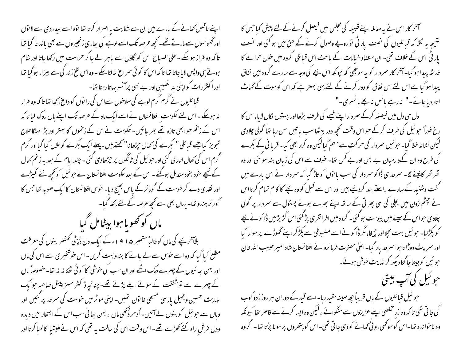اپنے ناقص کھانے کے بارے میں ان سے شکایت یا اصرار کرتا تھا نوہ اسے بیدردی سے لا نوں اور گھونسوں سے مار تے تھے۔ کچھ عرصہ تک اسے لوہے کی ہجاری زنجیروں سے بھی باندھا گیا تھا تا کہ وہ فراز ہوسکے ۔ علی الصباح اس کو گاؤں سے ماہر لے جا کر حراست میں رکھا جاتا اور شام ہوتے ہی واپس لایاجاتا تھا تاکہ اس کا کوئی سمراغ نہ لگا سکے - وہ اس تلخ زندگی سے بیزار ہوگیا تھا اور اکثر رات کواپنی بد تصیبی اور بے بسی پرآنسو بہاتارہتا تھا۔

قبائلیوں نے گرم گرم لوہے کی سلاحوں سےاس کی را نوں کو داغ رکھا تھا تا کہ وہ فرار نہ ہوسکے ۔ اس لئے حکومت افغانستان نے اسے ایک ماہ کے عرصہ تک اپنے پاں روک لیا تا کہ اس کے زخم حبو ابھی تازہ تھے بھر جائیں۔ حکومت نےاس کے زخموں کا بہتر اور بڑا مہنگا علاج تجویز کیا جسے قبائلی " کبرے کی تھال حپڑھانا" کھتے ہیں ہیلے ایک بکرے کوحلال کیا گیااور گرم گرم اس کی تھال اتارلی گئی اور حبو ئیل کی ٹانگوں پر جپڑھادی گئی - چند ایام کے بعد بیرزخم تھال کے نیچے خود بخود مندمل ہوگئے ۔اس کے بعد حکومت افغانستان نے حبو ئیل کو کچھ نئے کیپڑے اور نقدی دے کر حوست کے گور نر کے پاس بھیج دیا۔ حوس افغانستان کا ایک صوبہ تھا جس کا گور نر ہندو تھا۔ یہاں بھی اسے کچھ عرصہ کے لئے رکھا گیا۔

ماں کو تھو با ہوا بیٹامل گیا بلاآخر بچے کی ماں کو غالباً ستمبر ۱۹۱۵ء کے ایک دن ڈپٹی تھشنر بنوں کی معرفت مطلع کیا گیا کہ وہ اسے خوس سے لے جانے کا بندوبست کریں۔ اس خوشخبر ی سے اس کی ماں اور بہن ہیا ئیوں کے چہرے دمک اٹھے اور ان سب کی خوشی کا کو ٹی ٹھکا نہ نہ تھا۔ خصوصاً ماں کے چہرے سے نوشفقت کے سوتے ابلے پڑتے تھے۔چنانچہ ڈاکٹر مسز پینل صاحبہ حوایک نہایت حسین وجمیل پارسی مسیحی خاتون تھیں۔ اپنی موٹر میں خوست کی سمرحد پر کئیں اور وہاں سے حو ئیل کو بنوں لے آئیں۔ اُدھر دُتھی ماں ، بہن سِپائی سب اس کے انتظار میں دیدہ ودل فرش راہ کئے تھڑے تھے۔ اس وقت اس کی حالت یہ تھی کہ اس نے ملیشیا کالمبا کرتا اور

سمخر کار اس نے بیہ معاملہ اپنے قبیلہ کی مجلس میں فیصل کرنے کے لئے پیش کیا جس کا نتیجہ پہ لکلا کہ قبائلیوں کی نصف پار ٹی نوروپے وصول کرنے کے حن میں ہو گئی اور نصف یار ٹی اس کے خلاف تھی۔ ان متصاد خیالات کے باعث اس قبائلی گروہ میں خون خرابے کا خدشہ پیدا ہوگیا۔آخر کار سمردار کو یہ سوجھی کہ حیونکہ اس بچے کی وجہ سے سارے گروہ میں نفاق پیدا ہوگیا ہے اس لئے اس نفاق کو دور کرنے کے لئے یہی بہتر ہے کہ اس کوموت کے گھاٹ اتار دیاجائے۔" نہ رہے بانس نہ بجے بانسری۔"

دل ہی دل میں فیصلہ کرکے سمر دار اپنے خیبے کی طرف بڑھا اور پستول کال لایا، اس کا رخ فوراً حبو ئیل کی طرف کرکے حبو اس وقت تحمچھ دور بیٹھاسب پاتیں سن رہا تھا گولی چلادی لیکن نشانہ خطا گیا۔ حبو ئیل سمردار کی حرکت سے سہم گیالیکن وہ کرتا بھی کیا۔ قریا فی کے بکرے کی طرح وہ ان کےد رمیان بے بس اور بے کس تھا۔ حو**ت** سے اس کی زبان بند ہو گئی اور وہ تھر تھر کانپنے لگا۔ سمرحد ی ڈاکو سمردار کی سب یا نوں کو تاڑ گیا کہ سمردار نے اس بارے میں گفت وشنید کے سارے راستے بند کردیئے بیں اور اس سے قبل کووہ بچے کا کام تمام کرتا اس نے جبٹم زون میں بجلی کی سی پھر تی کے ساتھ اپنے بھرے ہوئے پستول سے سمردار پر گولی چلادی حبواس کے سپنے میں پیوست ہو گئی۔ گروہ میں افر اتفری پڑ گئی اس گڑ بڑمیں ڈا کو نے بچے کو پکڑلیا۔ حبو ئیل بہت مچلا اور جیخا، مگر ڈاکو نے اسے مضبوطی سے پکڑ کر اپنے گھوڑے پر سوار کیا اور سمر پٹ دوڑاتا ہوا سمرحدیار گبا۔اعلیٰ حصرت فرما نروائے افغانستان شاہ امیر حبیب اللہ خان حوئیل کوجیتاجا گتادیکھ کر نہایت خوش ہوئے۔ حوئیل کی آپ بیتی

حو ئىل قىائليوں كے ہاں قریباًحچە مہینہ مقید رہا۔اسے قید كے دوران ہر روز زدو كوب کی جاتی تھی تاکہ وہ زرِ مخلصی اپنے عزیزوں سے منگوائے ،لیکن وہ ایسا کرنے سے قاصر تھا کیونکہ وہ ناخواندہ تھا۔اس کوسوکھی رو ٹی تھانے کو دی جا تی تھی۔اس کو پتھروں پر سونا پڑتا تھا۔اگروہ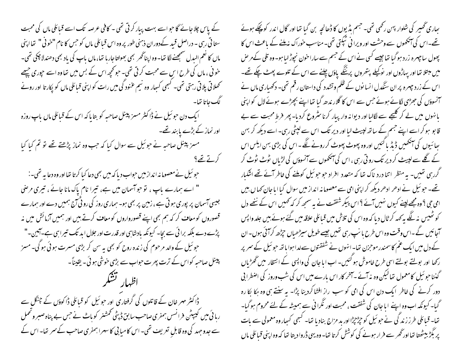کے پاس چلا جائے گا حبو اسے بہت پبار کر تی تھی ۔ کافی عرصہ تک اسے قبائلی ماں کی محبت ستا فی رہی ۔ دراصل قبید کےدوران ذہنی طور پر وہ اس قبائلی ماں کو جس کا نام "خوفی" تھااپنی ماں کا نعم البدل سمجھنے لگا تھا۔وہ اپناٹھر بھی بھولتاجارہا تھا،ماں باپ کی باد بھی دھندلا چکی تھی۔ حوفی ، ماں کی طرح اس سے محبت کرتی تھی۔ حو تحچھ اس کے بس میں تعاوہ اسے حپوری چیچھے تحصلاتی پلاتی رہتی تھی۔ کسجی کسِار وہ نہیم عنود گی میں رات کو اپنی قبائلی ماں کو یکار تا اور رونے لگ جاتا تھا۔ ایک دن حو ئیل نے ڈاکٹر مسز پینل صاحبہ کو بتایا کہ اس کے قبائلی ماں باپ روزہ اور نماز کے بڑے پابند تھے۔ مسز پینل صاحبہ نے حوئیل سے سوال کیا کہ جب وہ نماز پڑھتے تھے تو تم کیا کیا کرتے تھے ؟ حو ئیل نے معصوما نہ انداز میں حواب دیا کہ میں بھی دعا کیا کرتا تھا اور وہ دعا یہ تھی۔: " اسے ہمارے پاپ ، نو حواسمان میں ہے، تیرا نام پاک مانا جائے ، تیری مرضی جیسی آسمان پر پوری ہو تی ہے ، زمین پر بھی ہو۔ ہماری روز کی رو ٹی تی ہمیں دے اور ہمارے قصوروں کو معاف کر کہ ہم بھی اپنے قصورواروں کو معاف کرتے ہیں اور ہمیں آزمائش میں نہ پڑے دے بلکہ برا ئی سے بچا۔ کیونکہ بادشاہی اور قدرت اور جلال ابد تک تیراہی ہے۔آمین۔" حبو ئیل کے والد مرحوم کی زندہ روح کو بھی یہ سن کر بڑی مسرت ہوئی ہو گی۔ مسز پینل صاحبہ کواس کے ترت پھرت حواب سے بڑی خوشی ہو ئی - یقیناً -ڈاکٹر مہر خان کے قاتلوں کی گرفتاری اور حو ئیل کو قبائلی ڈاکوؤں کے چنگل سے رہائی میں کیپیٹن فرانسں ہمفری صاحب سابق ڈپٹی تحمشنر کوباٹ نے حس بے پناہ صبر وتحمل سے جدوجہد کی وہ قابلِ تعریف تھی۔اس کامیابی کاسہرا ہمفری صاحب کے سمر تعا۔اس کے

ہجاری گھیر کی شلوار بہن رکھی تھی۔ جسم پڈیوں کا ڈھانچہ بن گیا تھا اور گال اندر کو پچکے ہوئے تھے۔اس کی آنکھوں سے وحشت اور ویرا نی ٹیکتی تھی۔مناسب حوراک نہ ملنے کے باعث اس کا پھول ساچىرە زردېوگىا تھاجيسے كىي نے اس كے جسم سے ساراخون نجوڑ لىاہو- وہ تلى كے مر ص میں مبتلا تھا اور یہاڑوں اور نوکیلے بتھروں پرننگے پاؤں چلنے سے اس کے تلوے پھٹ چکے تھے۔ اس کے زرد جہرہ پر ان سنگدل انسانوں کے ظلم وتشدد کی داستان رقم تھی۔ دکھیاری ماں نے آنسوؤں کی جھڑی لگائے ہوئے جس سے اس کا گلار ندھ گیا تھا اپنے بچھڑے ہوئے لال کو اپنی بانہوں میں لے کر گلیجے سے لگالیا اور دیوانہ وار پیار کرنا سٹروع کردیا۔ پھر فرط محبت سے بے قا بو ہو کر اسے اپنے جسم کے ساتھ لپیٹ لیا اور دیر تک اس سے لپٹی رہی۔ اسے دیکھ کر بہن یھا ئیوں کی آنکھیں ڈیڈ پاکئیں اور وہ پھوٹ پھوٹ کر رونے لگے۔اس کی بڑی بہن ایلس اس کے گلے سے لپیٹ کر دیر تک رو تی رہی ، اس کی آنکھوں سے آنسوؤں کی لڑیاں پٹوٹ ٹوٹ کر گررہی تھیں۔ بہ منظر اتنا درد ناک تھا کہ متعدد افراد حو حو ئیل کوملنے کی فاطر آئے تھے اشکبار تھے۔ حبو ئیل نے ادھر ادھر دیکھ کر اپنی امی سے معصوما نہ انداز میں سوال کیا ایا جان کھا ں بیں امی حی ؟ وہ مجھے لینے کیوں نہیں آئے ؟ اس پیکر شفقت نے یہ سمجھ کر کہ کھمیں اس کے نتھے دل کو ٹھیس نہ لگے ہہ کہہ کرٹال دیا کہ وہ اس کی تلاش میں قبائلی علاقہ میں گئے ہوئے بیں جلد واپس آجائیں گے۔اس وقت وہ اس طرح با نپ رہی تھیں جیسے طویل سیڑھیاں حچڑھ کرائئی ہوں۔ان کے دل میں ایک عم کاسمندر موحزن تھا۔انہوں نے شفقتوں سےلداہوا باتھ حو ئیل کے سمر پر رکھا اور بولتے بولتے اسی طرح خاموش ہو گئیں۔ اب ایا جان کی واپسی کے انتظار میں ٹھڑیاں گنناحو ئیل کامعمول تھالیکن وہ نہ آئے۔آخر کار اس بارے میں اس کی شب وروز کی اضطرابی دور کرنے کی خاطر ایک دن اس کی امی کو سب راز افشاکردینا پڑا۔ یہ سنتے ہی وہ ہکا بکا رہ گیا۔ کیونکہ اب وہ اپنے ایا جان کی شفقت ، محبت اور نگرا فی سے ہمیشہ کے لئے محروم ہو گیا۔ تھا۔ قبائلی طرز زند گی نے حو ئیل کو چڑجپڑا اور ید مزاج بناد یا تھا۔ کسجی کسار وہ معمولی سے پات پر بگڑ بیٹھتا تھااور گھر سے فرار ہونے کی کوشش کرتا تھا۔وہ یہی ڈروا دیتا تھا کہ وہ اپنی قبائلی ماں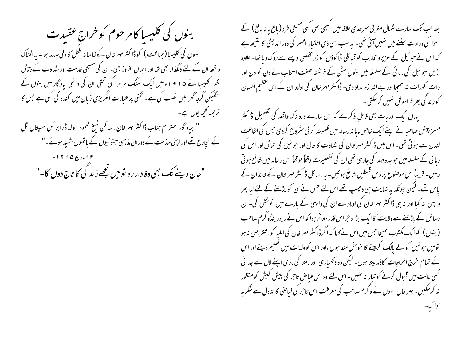بنوں کی کلیسا کامر حوم کو خراج عقیدت بنوں کی کلیسا (حماعت ) کو ڈاکٹر مہر خان کے ظالمانہ قتل کا دلی صدمہ ہوا۔ یہ المناک واقعہ ان کے لئے دلگذار بھی تھا اور ایمان افروز بھی۔ ان کی مسیحی خدمت اور شہادت کے پیش نظر کلیسا نے ۱۹۱۵ء میں ایک سنگ مر مر کی تختی ان کی دائمی یادگار میں بنوں کے الگلیکن گرجاٹھر میں نصب کی ہے۔ تختی پر عبارت انگریزی زبان میں کندہ کی گئی ہے جس کا ترحمہ تحجھ یوں ہے۔ " بیاد گار احترام جناب ڈاکٹر مہر خان ، سا کن شیخ محمود حولارڈرا برٹس ہسپتال ٹل کے انچارج تھے اور اپنی ملازمت کے دوران مذہبی جنو نیوں کے باتھوں شہید ہوئے۔" "جان دینے <sub>تک</sub> بھی وفادار رہ تومیں تجھے زند گی کا تاج دوں گا۔"

بعد اب تک سارے شمال مغربی سمرحدی علاقہ میں گہجی بھی کسی مسیحی فر د ( بالغ یا نا بالغ ) کے اعوٰا کی ورادت سننے میں نہیں آئی تھی۔ یہ سب اسی ذی اختیار افسر کی دور اندیشی کا نتیجہ ہے کہ اس نے حبو ٹیل کے عزیزو اقارب کو قبائلی ڈاکوؤں کو زر مخلصی دینے سے روک دیا تھا۔ علاوہ ازیں حبوئیل کی رہائی کے سلسلہ میں بنوں مش کے فرشتہ صفت اصحاب نے دن کو دن اور رات کورات نہ سمجیا اور بے اندازہ امداد دی۔ ڈاکٹر مہر خان کی اولاد ان کے اس عظیم احسان کوزندگی بھر فراموش نہیں کرسکتی۔

یہاں ایک اور بات بھی قابل ذکر ہے کہ اس سارے درد ناک واقعہ کی تفصیل ڈاکٹر مسیز پینل صاحبہ نے اپنے ایک خاص مایا نہ رسالہ میں قلمبند کر فی سٹروع کردی جس کی اشاعت لندن سے ہو تی تھی۔ اس میں ڈاکٹر مہر خان کی شہادت کا حال اور حبو ئیل کی تلاش اور اس کی رہا ئی کے سلسلہ میں حوجدوحہد کی جارہی تھی ان کی تفصیلات وقتاً فوقتاً اس رسالہ میں شائع ہو تی ر بیں۔ قریباً اس موصوع پر دس قسطیں شائع ہوئیں۔ بہ رسائل ڈاکٹر مہر خان کے خاندان کے پاس تھے۔لیکن جونکہ یہ نہایت ہی دلچپ تھے اس لئے جس نے ان کو پڑھنے کے لئے لبا پھر واپس نہ کیا اور نہ ہی ڈاکٹر مہر خان کی اولاد نے ان کی واپسی کے بارے میں کوشش کی۔ ان رسائل کے پڑھنے سےولایت کاایک بڑا تاحراس قدر متاثر ہوا کہ اس نے رپور ینڈو گرم صاحب (بنوں) کوایک مکتوب بھیجاجس میں اس نے <sub>ک</sub>ہا کہ اگر ڈاکٹر مہر خان کی اہلیہ کواعتراض نہ ہو تومیں حو ئیل کو لے پالک کرلینے کا حوہش مند ہوں ،اور اس کوولایت میں تعلیم دینے اور اس کے تمام خرچ اخراجات کاذمہ لیتا ہوں۔ لیکن وہ دکھیاری اور مامتا کی ماری اپنے لال سے جدا ئی کسی حالت میں قسول کرنے کو تیار نہ تھیں۔اس لئے وہ اس فسامن تاحر کی پیش کیش کومنظور نہ کرسکیں۔ بہر حال انہوں نے وگرم صاحب کی معرفت اس تاحر کی فیاضی کا تہ دل سے شکر یہ ادا کیا۔